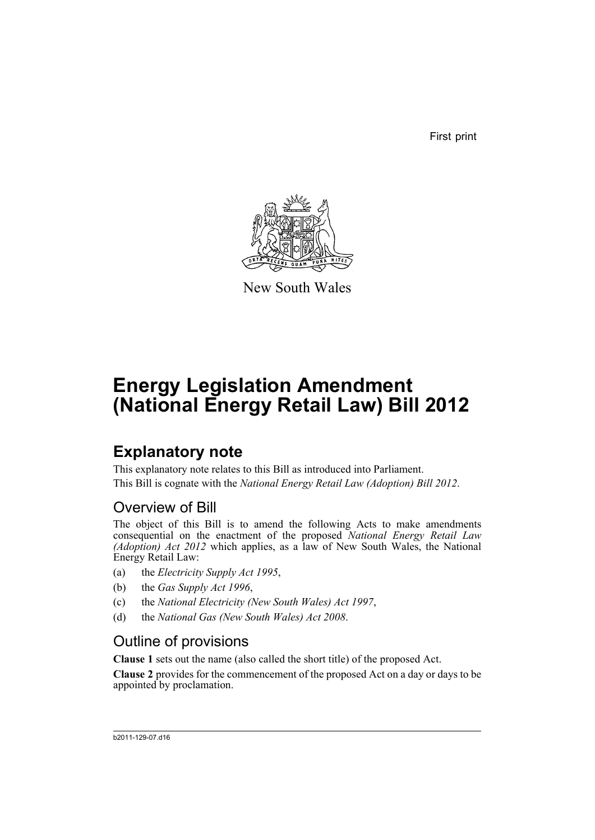First print



New South Wales

# **Energy Legislation Amendment (National Energy Retail Law) Bill 2012**

## **Explanatory note**

This explanatory note relates to this Bill as introduced into Parliament. This Bill is cognate with the *National Energy Retail Law (Adoption) Bill 2012*.

## Overview of Bill

The object of this Bill is to amend the following Acts to make amendments consequential on the enactment of the proposed *National Energy Retail Law (Adoption) Act 2012* which applies, as a law of New South Wales, the National Energy Retail Law:

- (a) the *Electricity Supply Act 1995*,
- (b) the *Gas Supply Act 1996*,
- (c) the *National Electricity (New South Wales) Act 1997*,
- (d) the *National Gas (New South Wales) Act 2008*.

## Outline of provisions

**Clause 1** sets out the name (also called the short title) of the proposed Act.

**Clause 2** provides for the commencement of the proposed Act on a day or days to be appointed by proclamation.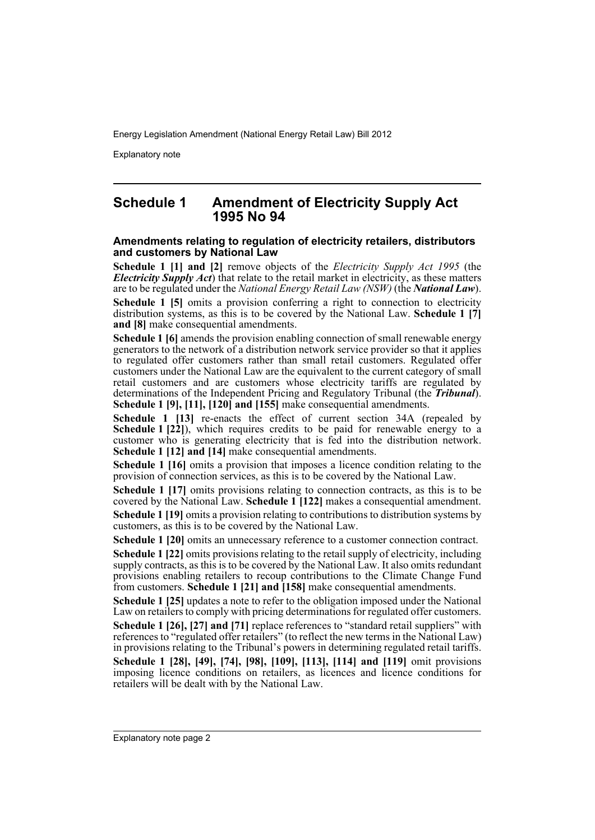Explanatory note

### **Schedule 1 Amendment of Electricity Supply Act 1995 No 94**

#### **Amendments relating to regulation of electricity retailers, distributors and customers by National Law**

**Schedule 1 [1] and [2]** remove objects of the *Electricity Supply Act 1995* (the *Electricity Supply Act*) that relate to the retail market in electricity, as these matters are to be regulated under the *National Energy Retail Law (NSW)* (the *National Law*). **Schedule 1 [5]** omits a provision conferring a right to connection to electricity distribution systems, as this is to be covered by the National Law. **Schedule 1 [7] and [8]** make consequential amendments.

**Schedule 1 [6]** amends the provision enabling connection of small renewable energy generators to the network of a distribution network service provider so that it applies to regulated offer customers rather than small retail customers. Regulated offer customers under the National Law are the equivalent to the current category of small retail customers and are customers whose electricity tariffs are regulated by determinations of the Independent Pricing and Regulatory Tribunal (the *Tribunal*). **Schedule 1 [9], [11], [120] and [155]** make consequential amendments.

**Schedule 1 [13]** re-enacts the effect of current section 34A (repealed by **Schedule 1 [22]**), which requires credits to be paid for renewable energy to a customer who is generating electricity that is fed into the distribution network. **Schedule 1 [12] and [14]** make consequential amendments.

**Schedule 1 [16]** omits a provision that imposes a licence condition relating to the provision of connection services, as this is to be covered by the National Law.

**Schedule 1 [17]** omits provisions relating to connection contracts, as this is to be covered by the National Law. **Schedule 1 [122]** makes a consequential amendment. **Schedule 1 [19]** omits a provision relating to contributions to distribution systems by customers, as this is to be covered by the National Law.

**Schedule 1 [20]** omits an unnecessary reference to a customer connection contract.

**Schedule 1 [22]** omits provisions relating to the retail supply of electricity, including supply contracts, as this is to be covered by the National Law. It also omits redundant provisions enabling retailers to recoup contributions to the Climate Change Fund from customers. **Schedule 1 [21] and [158]** make consequential amendments.

**Schedule 1 [25]** updates a note to refer to the obligation imposed under the National Law on retailers to comply with pricing determinations for regulated offer customers. **Schedule 1 [26], [27] and [71]** replace references to "standard retail suppliers" with references to "regulated offer retailers" (to reflect the new terms in the National Law) in provisions relating to the Tribunal's powers in determining regulated retail tariffs. **Schedule 1 [28], [49], [74], [98], [109], [113], [114] and [119]** omit provisions imposing licence conditions on retailers, as licences and licence conditions for retailers will be dealt with by the National Law.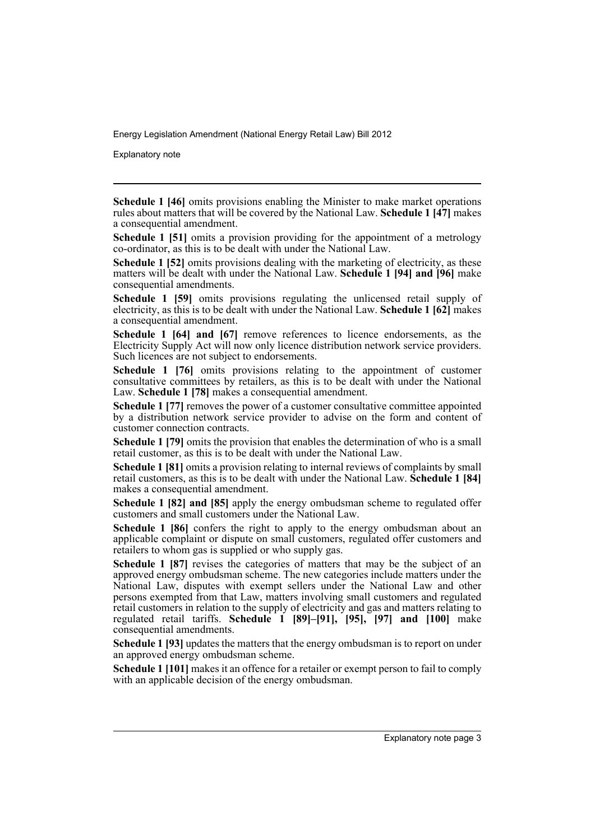Explanatory note

**Schedule 1 [46]** omits provisions enabling the Minister to make market operations rules about matters that will be covered by the National Law. **Schedule 1 [47]** makes a consequential amendment.

**Schedule 1 [51]** omits a provision providing for the appointment of a metrology co-ordinator, as this is to be dealt with under the National Law.

**Schedule 1 [52]** omits provisions dealing with the marketing of electricity, as these matters will be dealt with under the National Law. **Schedule 1 [94] and [96]** make consequential amendments.

**Schedule 1 [59]** omits provisions regulating the unlicensed retail supply of electricity, as this is to be dealt with under the National Law. **Schedule 1 [62]** makes a consequential amendment.

**Schedule 1 [64] and [67]** remove references to licence endorsements, as the Electricity Supply Act will now only licence distribution network service providers. Such licences are not subject to endorsements.

**Schedule 1 [76]** omits provisions relating to the appointment of customer consultative committees by retailers, as this is to be dealt with under the National Law. **Schedule 1 [78]** makes a consequential amendment.

**Schedule 1 [77]** removes the power of a customer consultative committee appointed by a distribution network service provider to advise on the form and content of customer connection contracts.

**Schedule 1 [79]** omits the provision that enables the determination of who is a small retail customer, as this is to be dealt with under the National Law.

**Schedule 1 [81]** omits a provision relating to internal reviews of complaints by small retail customers, as this is to be dealt with under the National Law. **Schedule 1 [84]** makes a consequential amendment.

**Schedule 1 [82] and [85]** apply the energy ombudsman scheme to regulated offer customers and small customers under the National Law.

**Schedule 1 [86]** confers the right to apply to the energy ombudsman about an applicable complaint or dispute on small customers, regulated offer customers and retailers to whom gas is supplied or who supply gas.

**Schedule 1 [87]** revises the categories of matters that may be the subject of an approved energy ombudsman scheme. The new categories include matters under the National Law, disputes with exempt sellers under the National Law and other persons exempted from that Law, matters involving small customers and regulated retail customers in relation to the supply of electricity and gas and matters relating to regulated retail tariffs. **Schedule 1 [89]–[91], [95], [97] and [100]** make consequential amendments.

**Schedule 1 [93]** updates the matters that the energy ombudsman is to report on under an approved energy ombudsman scheme.

**Schedule 1 [101]** makes it an offence for a retailer or exempt person to fail to comply with an applicable decision of the energy ombudsman.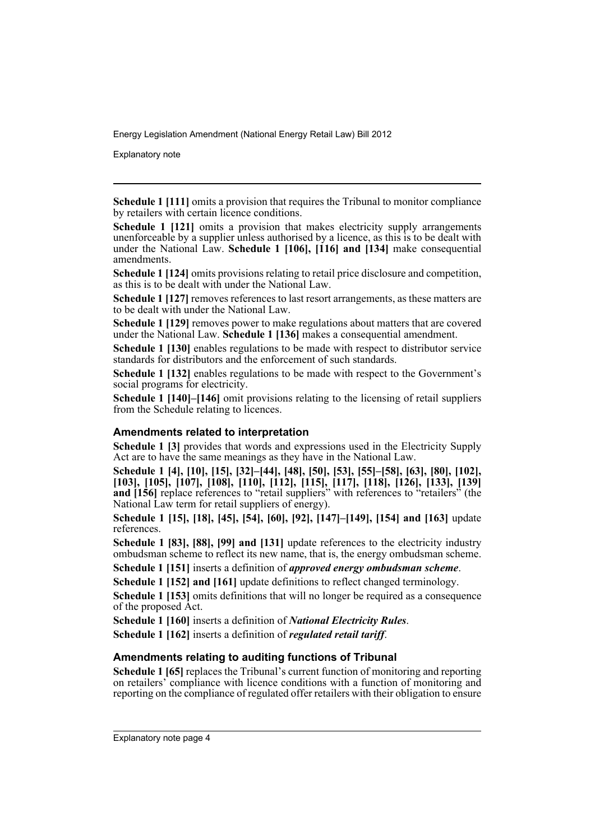Explanatory note

**Schedule 1 [111]** omits a provision that requires the Tribunal to monitor compliance by retailers with certain licence conditions.

**Schedule 1 [121]** omits a provision that makes electricity supply arrangements unenforceable by a supplier unless authorised by a licence, as this is to be dealt with under the National Law. **Schedule 1 [106], [116] and [134]** make consequential amendments.

**Schedule 1 [124]** omits provisions relating to retail price disclosure and competition, as this is to be dealt with under the National Law.

**Schedule 1 [127]** removes references to last resort arrangements, as these matters are to be dealt with under the National Law.

**Schedule 1 [129]** removes power to make regulations about matters that are covered under the National Law. **Schedule 1 [136]** makes a consequential amendment.

**Schedule 1 [130]** enables regulations to be made with respect to distributor service standards for distributors and the enforcement of such standards.

**Schedule 1 [132]** enables regulations to be made with respect to the Government's social programs for electricity.

**Schedule 1 [140]–[146]** omit provisions relating to the licensing of retail suppliers from the Schedule relating to licences.

#### **Amendments related to interpretation**

**Schedule 1 [3]** provides that words and expressions used in the Electricity Supply Act are to have the same meanings as they have in the National Law.

**Schedule 1 [4], [10], [15], [32]–[44], [48], [50], [53], [55]–[58], [63], [80], [102], [103], [105], [107], [108], [110], [112], [115], [117], [118], [126], [133], [139] and [156]** replace references to "retail suppliers" with references to "retailers" (the National Law term for retail suppliers of energy).

**Schedule 1 [15], [18], [45], [54], [60], [92], [147]–[149], [154] and [163]** update references.

**Schedule 1 [83], [88], [99] and [131]** update references to the electricity industry ombudsman scheme to reflect its new name, that is, the energy ombudsman scheme.

**Schedule 1 [151]** inserts a definition of *approved energy ombudsman scheme*.

**Schedule 1 [152] and [161]** update definitions to reflect changed terminology.

**Schedule 1 [153]** omits definitions that will no longer be required as a consequence of the proposed Act.

**Schedule 1 [160]** inserts a definition of *National Electricity Rules*.

**Schedule 1 [162]** inserts a definition of *regulated retail tariff*.

#### **Amendments relating to auditing functions of Tribunal**

**Schedule 1 [65]** replaces the Tribunal's current function of monitoring and reporting on retailers' compliance with licence conditions with a function of monitoring and reporting on the compliance of regulated offer retailers with their obligation to ensure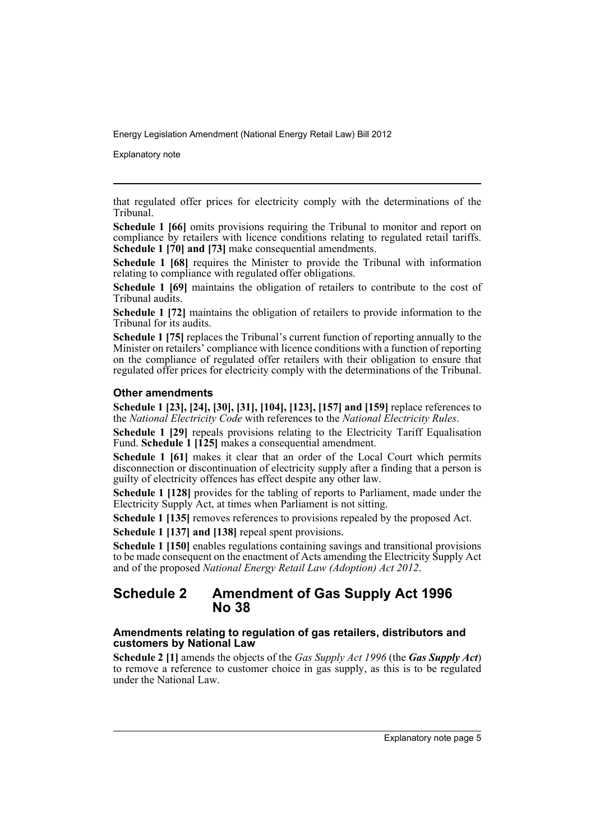Explanatory note

that regulated offer prices for electricity comply with the determinations of the Tribunal.

**Schedule 1 [66]** omits provisions requiring the Tribunal to monitor and report on compliance by retailers with licence conditions relating to regulated retail tariffs. **Schedule 1 [70] and [73]** make consequential amendments.

**Schedule 1 [68]** requires the Minister to provide the Tribunal with information relating to compliance with regulated offer obligations.

**Schedule 1 [69]** maintains the obligation of retailers to contribute to the cost of Tribunal audits.

**Schedule 1 [72]** maintains the obligation of retailers to provide information to the Tribunal for its audits.

**Schedule 1 [75]** replaces the Tribunal's current function of reporting annually to the Minister on retailers' compliance with licence conditions with a function of reporting on the compliance of regulated offer retailers with their obligation to ensure that regulated offer prices for electricity comply with the determinations of the Tribunal.

#### **Other amendments**

**Schedule 1 [23], [24], [30], [31], [104], [123], [157] and [159]** replace references to the *National Electricity Code* with references to the *National Electricity Rules*.

**Schedule 1 [29]** repeals provisions relating to the Electricity Tariff Equalisation Fund. **Schedule 1 [125]** makes a consequential amendment.

**Schedule 1 [61]** makes it clear that an order of the Local Court which permits disconnection or discontinuation of electricity supply after a finding that a person is guilty of electricity offences has effect despite any other law.

**Schedule 1 [128]** provides for the tabling of reports to Parliament, made under the Electricity Supply Act, at times when Parliament is not sitting.

**Schedule 1 [135]** removes references to provisions repealed by the proposed Act.

**Schedule 1 [137] and [138]** repeal spent provisions.

**Schedule 1 [150]** enables regulations containing savings and transitional provisions to be made consequent on the enactment of Acts amending the Electricity Supply Act and of the proposed *National Energy Retail Law (Adoption) Act 2012*.

## **Schedule 2 Amendment of Gas Supply Act 1996 No 38**

#### **Amendments relating to regulation of gas retailers, distributors and customers by National Law**

**Schedule 2 [1]** amends the objects of the *Gas Supply Act 1996* (the *Gas Supply Act*) to remove a reference to customer choice in gas supply, as this is to be regulated under the National Law.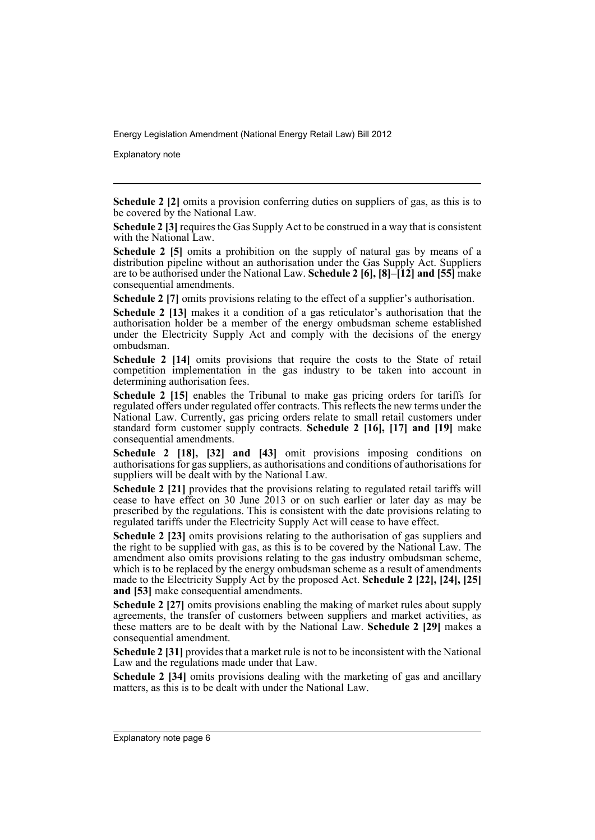Explanatory note

**Schedule 2 [2]** omits a provision conferring duties on suppliers of gas, as this is to be covered by the National Law.

**Schedule 2 [3]** requires the Gas Supply Act to be construed in a way that is consistent with the National Law.

**Schedule 2 [5]** omits a prohibition on the supply of natural gas by means of a distribution pipeline without an authorisation under the Gas Supply Act. Suppliers are to be authorised under the National Law. **Schedule 2 [6], [8]–[12] and [55]** make consequential amendments.

**Schedule 2** [7] omits provisions relating to the effect of a supplier's authorisation.

**Schedule 2 [13]** makes it a condition of a gas reticulator's authorisation that the authorisation holder be a member of the energy ombudsman scheme established under the Electricity Supply Act and comply with the decisions of the energy ombudsman.

**Schedule 2 [14]** omits provisions that require the costs to the State of retail competition implementation in the gas industry to be taken into account in determining authorisation fees.

**Schedule 2 [15]** enables the Tribunal to make gas pricing orders for tariffs for regulated offers under regulated offer contracts. This reflects the new terms under the National Law. Currently, gas pricing orders relate to small retail customers under standard form customer supply contracts. **Schedule 2 [16], [17] and [19]** make consequential amendments.

**Schedule 2 [18], [32] and [43]** omit provisions imposing conditions on authorisations for gas suppliers, as authorisations and conditions of authorisations for suppliers will be dealt with by the National Law.

**Schedule 2 [21]** provides that the provisions relating to regulated retail tariffs will cease to have effect on 30 June 2013 or on such earlier or later day as may be prescribed by the regulations. This is consistent with the date provisions relating to regulated tariffs under the Electricity Supply Act will cease to have effect.

**Schedule 2 [23]** omits provisions relating to the authorisation of gas suppliers and the right to be supplied with gas, as this is to be covered by the National Law. The amendment also omits provisions relating to the gas industry ombudsman scheme, which is to be replaced by the energy ombudsman scheme as a result of amendments made to the Electricity Supply Act by the proposed Act. **Schedule 2 [22], [24], [25] and [53]** make consequential amendments.

**Schedule 2 [27]** omits provisions enabling the making of market rules about supply agreements, the transfer of customers between suppliers and market activities, as these matters are to be dealt with by the National Law. **Schedule 2 [29]** makes a consequential amendment.

**Schedule 2 [31]** provides that a market rule is not to be inconsistent with the National Law and the regulations made under that Law.

**Schedule 2 [34]** omits provisions dealing with the marketing of gas and ancillary matters, as this is to be dealt with under the National Law.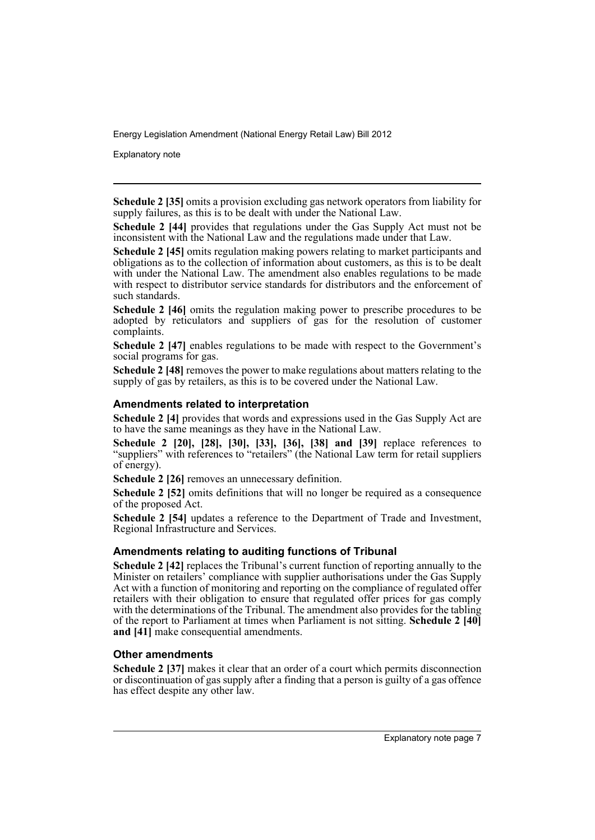Explanatory note

**Schedule 2 [35]** omits a provision excluding gas network operators from liability for supply failures, as this is to be dealt with under the National Law.

**Schedule 2 [44]** provides that regulations under the Gas Supply Act must not be inconsistent with the National Law and the regulations made under that Law.

**Schedule 2 [45]** omits regulation making powers relating to market participants and obligations as to the collection of information about customers, as this is to be dealt with under the National Law. The amendment also enables regulations to be made with respect to distributor service standards for distributors and the enforcement of such standards.

**Schedule 2 [46]** omits the regulation making power to prescribe procedures to be adopted by reticulators and suppliers of gas for the resolution of customer complaints.

**Schedule 2 [47]** enables regulations to be made with respect to the Government's social programs for gas.

**Schedule 2 [48]** removes the power to make regulations about matters relating to the supply of gas by retailers, as this is to be covered under the National Law.

#### **Amendments related to interpretation**

**Schedule 2 [4]** provides that words and expressions used in the Gas Supply Act are to have the same meanings as they have in the National Law.

**Schedule 2 [20], [28], [30], [33], [36], [38] and [39]** replace references to "suppliers" with references to "retailers" (the National Law term for retail suppliers of energy).

**Schedule 2 [26]** removes an unnecessary definition.

**Schedule 2 [52]** omits definitions that will no longer be required as a consequence of the proposed Act.

**Schedule 2 [54]** updates a reference to the Department of Trade and Investment, Regional Infrastructure and Services.

#### **Amendments relating to auditing functions of Tribunal**

**Schedule 2 [42]** replaces the Tribunal's current function of reporting annually to the Minister on retailers' compliance with supplier authorisations under the Gas Supply Act with a function of monitoring and reporting on the compliance of regulated offer retailers with their obligation to ensure that regulated offer prices for gas comply with the determinations of the Tribunal. The amendment also provides for the tabling of the report to Parliament at times when Parliament is not sitting. **Schedule 2 [40] and [41]** make consequential amendments.

#### **Other amendments**

**Schedule 2 [37]** makes it clear that an order of a court which permits disconnection or discontinuation of gas supply after a finding that a person is guilty of a gas offence has effect despite any other law.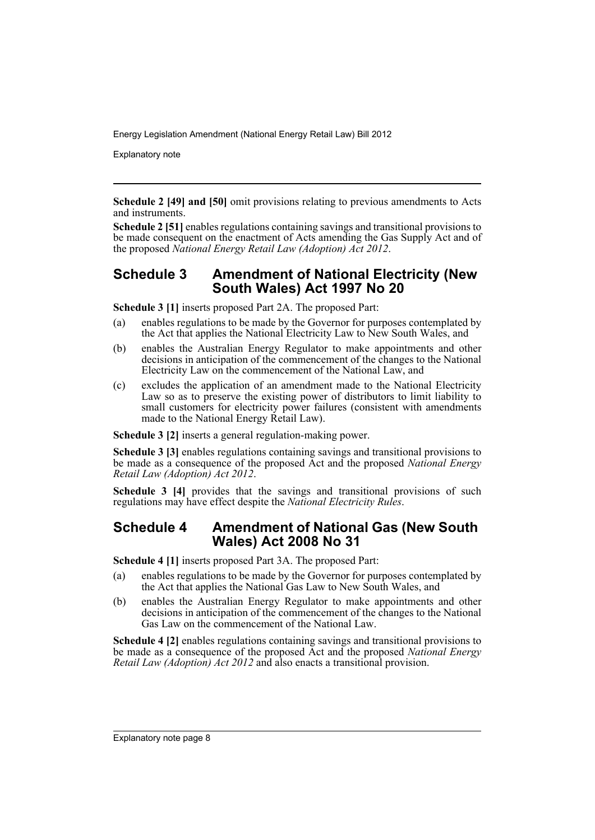Explanatory note

**Schedule 2 [49] and [50]** omit provisions relating to previous amendments to Acts and instruments.

**Schedule 2 [51]** enables regulations containing savings and transitional provisions to be made consequent on the enactment of Acts amending the Gas Supply Act and of the proposed *National Energy Retail Law (Adoption) Act 2012*.

## **Schedule 3 Amendment of National Electricity (New South Wales) Act 1997 No 20**

**Schedule 3 [1]** inserts proposed Part 2A. The proposed Part:

- (a) enables regulations to be made by the Governor for purposes contemplated by the Act that applies the National Electricity Law to New South Wales, and
- (b) enables the Australian Energy Regulator to make appointments and other decisions in anticipation of the commencement of the changes to the National Electricity Law on the commencement of the National Law, and
- (c) excludes the application of an amendment made to the National Electricity Law so as to preserve the existing power of distributors to limit liability to small customers for electricity power failures (consistent with amendments made to the National Energy Retail Law).

**Schedule 3 [2]** inserts a general regulation-making power.

**Schedule 3 [3]** enables regulations containing savings and transitional provisions to be made as a consequence of the proposed Act and the proposed *National Energy Retail Law (Adoption) Act 2012*.

**Schedule 3** [4] provides that the savings and transitional provisions of such regulations may have effect despite the *National Electricity Rules*.

## **Schedule 4 Amendment of National Gas (New South Wales) Act 2008 No 31**

**Schedule 4 [1]** inserts proposed Part 3A. The proposed Part:

- (a) enables regulations to be made by the Governor for purposes contemplated by the Act that applies the National Gas Law to New South Wales, and
- (b) enables the Australian Energy Regulator to make appointments and other decisions in anticipation of the commencement of the changes to the National Gas Law on the commencement of the National Law.

**Schedule 4 [2]** enables regulations containing savings and transitional provisions to be made as a consequence of the proposed Act and the proposed *National Energy Retail Law (Adoption) Act 2012* and also enacts a transitional provision.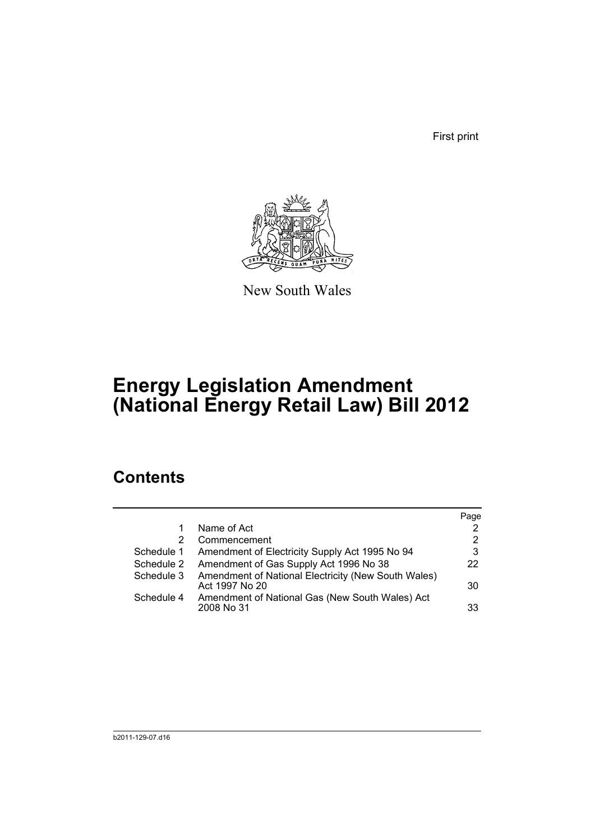First print



New South Wales

# **Energy Legislation Amendment (National Energy Retail Law) Bill 2012**

## **Contents**

|            |                                                                       | Page                  |
|------------|-----------------------------------------------------------------------|-----------------------|
|            | Name of Act                                                           | 2                     |
| 2          | Commencement                                                          | $\mathbf{2}^{\prime}$ |
| Schedule 1 | Amendment of Electricity Supply Act 1995 No 94                        | 3                     |
| Schedule 2 | Amendment of Gas Supply Act 1996 No 38                                | 22                    |
| Schedule 3 | Amendment of National Electricity (New South Wales)<br>Act 1997 No 20 | 30                    |
| Schedule 4 | Amendment of National Gas (New South Wales) Act<br>2008 No 31         | 33                    |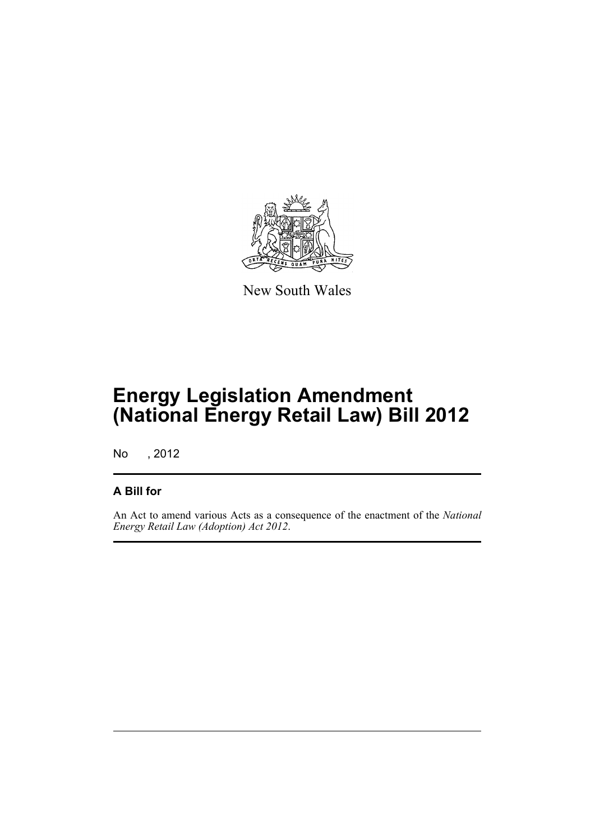

New South Wales

# **Energy Legislation Amendment (National Energy Retail Law) Bill 2012**

No , 2012

## **A Bill for**

An Act to amend various Acts as a consequence of the enactment of the *National Energy Retail Law (Adoption) Act 2012*.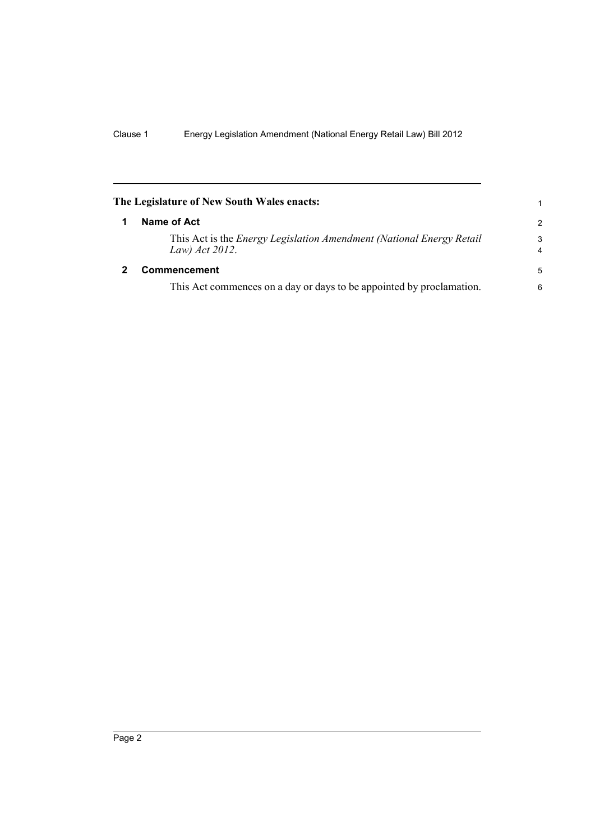<span id="page-11-1"></span><span id="page-11-0"></span>

|   | The Legislature of New South Wales enacts:                                                    |                     |
|---|-----------------------------------------------------------------------------------------------|---------------------|
| 1 | Name of Act                                                                                   | 2                   |
|   | This Act is the <i>Energy Legislation Amendment (National Energy Retail</i><br>Law) Act 2012. | 3<br>$\overline{4}$ |
| 2 | <b>Commencement</b>                                                                           | 5                   |
|   | This Act commences on a day or days to be appointed by proclamation.                          | 6                   |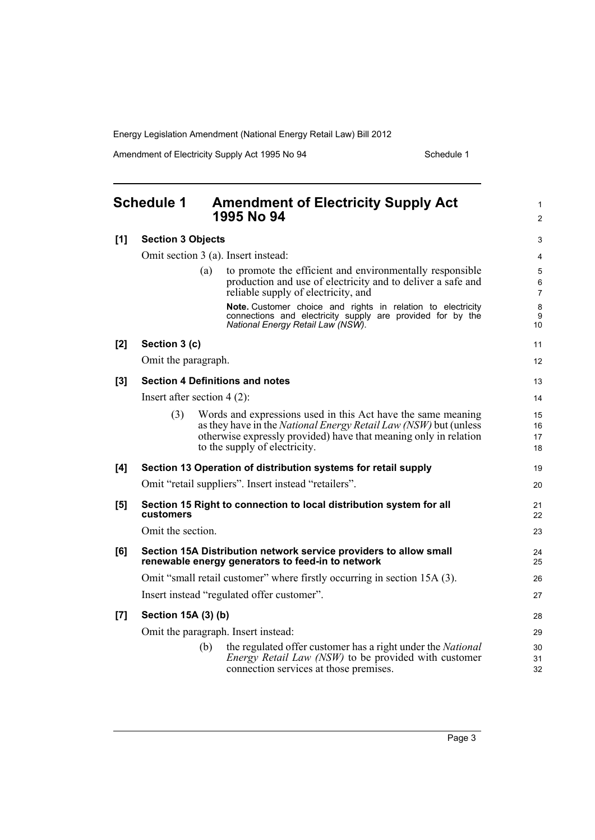Amendment of Electricity Supply Act 1995 No 94 Schedule 1

<span id="page-12-0"></span>

|       | <b>Schedule 1</b>             | <b>Amendment of Electricity Supply Act</b><br>1995 No 94                                                                                                                                                                                     | $\mathbf{1}$<br>$\overline{2}$ |
|-------|-------------------------------|----------------------------------------------------------------------------------------------------------------------------------------------------------------------------------------------------------------------------------------------|--------------------------------|
| [1]   | <b>Section 3 Objects</b>      |                                                                                                                                                                                                                                              | 3                              |
|       |                               | Omit section 3 (a). Insert instead:                                                                                                                                                                                                          | 4                              |
|       |                               | to promote the efficient and environmentally responsible<br>(a)<br>production and use of electricity and to deliver a safe and<br>reliable supply of electricity, and                                                                        | 5<br>6<br>$\overline{7}$       |
|       |                               | Note. Customer choice and rights in relation to electricity<br>connections and electricity supply are provided for by the<br>National Energy Retail Law (NSW).                                                                               | 8<br>9<br>10                   |
| $[2]$ | Section 3 (c)                 |                                                                                                                                                                                                                                              | 11                             |
|       | Omit the paragraph.           |                                                                                                                                                                                                                                              | 12                             |
| [3]   |                               | <b>Section 4 Definitions and notes</b>                                                                                                                                                                                                       | 13                             |
|       | Insert after section $4(2)$ : |                                                                                                                                                                                                                                              | 14                             |
|       | (3)                           | Words and expressions used in this Act have the same meaning<br>as they have in the <i>National Energy Retail Law (NSW)</i> but (unless<br>otherwise expressly provided) have that meaning only in relation<br>to the supply of electricity. | 15<br>16<br>17<br>18           |
| [4]   |                               | Section 13 Operation of distribution systems for retail supply                                                                                                                                                                               | 19                             |
|       |                               | Omit "retail suppliers". Insert instead "retailers".                                                                                                                                                                                         | 20                             |
| [5]   | <b>customers</b>              | Section 15 Right to connection to local distribution system for all                                                                                                                                                                          | 21<br>22                       |
|       | Omit the section.             |                                                                                                                                                                                                                                              | 23                             |
| [6]   |                               | Section 15A Distribution network service providers to allow small<br>renewable energy generators to feed-in to network                                                                                                                       | 24<br>25                       |
|       |                               | Omit "small retail customer" where firstly occurring in section 15A (3).                                                                                                                                                                     | 26                             |
|       |                               | Insert instead "regulated offer customer".                                                                                                                                                                                                   | 27                             |
| [7]   | Section 15A (3) (b)           |                                                                                                                                                                                                                                              | 28                             |
|       |                               | Omit the paragraph. Insert instead:                                                                                                                                                                                                          | 29                             |
|       |                               | the regulated offer customer has a right under the National<br>(b)<br><i>Energy Retail Law (NSW)</i> to be provided with customer<br>connection services at those premises.                                                                  | 30<br>31<br>32                 |
|       |                               |                                                                                                                                                                                                                                              |                                |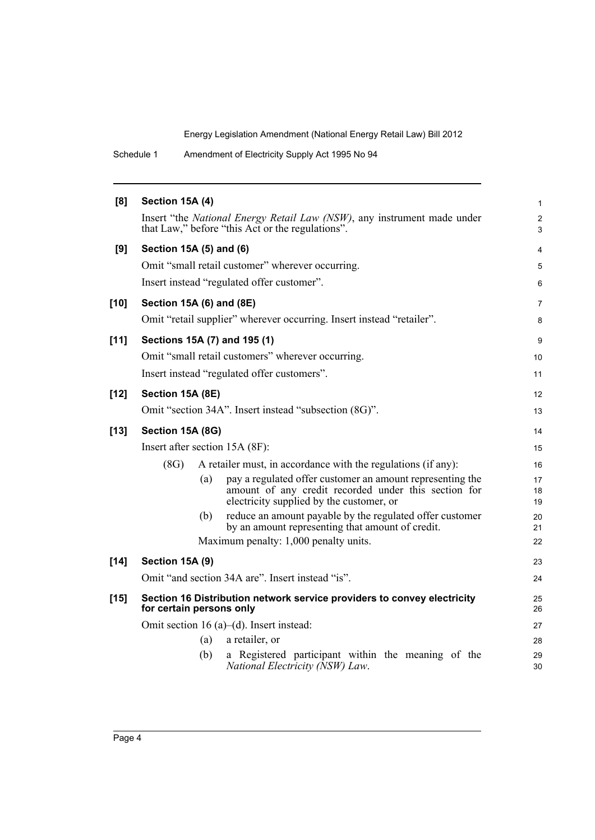Schedule 1 Amendment of Electricity Supply Act 1995 No 94

| [8]    | Section 15A (4)                |     |                                                                                                                                                               | $\mathbf{1}$        |
|--------|--------------------------------|-----|---------------------------------------------------------------------------------------------------------------------------------------------------------------|---------------------|
|        |                                |     | Insert "the National Energy Retail Law (NSW), any instrument made under<br>that Law," before "this Act or the regulations".                                   | $\overline{c}$<br>3 |
| [9]    | Section 15A (5) and (6)        |     |                                                                                                                                                               | 4                   |
|        |                                |     | Omit "small retail customer" wherever occurring.                                                                                                              | 5                   |
|        |                                |     | Insert instead "regulated offer customer".                                                                                                                    | 6                   |
| $[10]$ | Section 15A (6) and (8E)       |     |                                                                                                                                                               | $\overline{7}$      |
|        |                                |     | Omit "retail supplier" wherever occurring. Insert instead "retailer".                                                                                         | 8                   |
| $[11]$ |                                |     | Sections 15A (7) and 195 (1)                                                                                                                                  | 9                   |
|        |                                |     | Omit "small retail customers" wherever occurring.                                                                                                             | 10                  |
|        |                                |     | Insert instead "regulated offer customers".                                                                                                                   | 11                  |
| $[12]$ | Section 15A (8E)               |     |                                                                                                                                                               | 12                  |
|        |                                |     | Omit "section 34A". Insert instead "subsection (8G)".                                                                                                         | 13                  |
| $[13]$ | Section 15A (8G)               |     |                                                                                                                                                               | 14                  |
|        | Insert after section 15A (8F): |     |                                                                                                                                                               | 15                  |
|        | (8G)                           |     | A retailer must, in accordance with the regulations (if any):                                                                                                 | 16                  |
|        |                                | (a) | pay a regulated offer customer an amount representing the<br>amount of any credit recorded under this section for<br>electricity supplied by the customer, or | 17<br>18<br>19      |
|        |                                | (b) | reduce an amount payable by the regulated offer customer<br>by an amount representing that amount of credit.                                                  | 20<br>21            |
|        |                                |     | Maximum penalty: 1,000 penalty units.                                                                                                                         | 22                  |
| $[14]$ | Section 15A (9)                |     |                                                                                                                                                               | 23                  |
|        |                                |     | Omit "and section 34A are". Insert instead "is".                                                                                                              | 24                  |
| $[15]$ | for certain persons only       |     | Section 16 Distribution network service providers to convey electricity                                                                                       | 25<br>26            |
|        |                                |     | Omit section 16 (a)–(d). Insert instead:                                                                                                                      | 27                  |
|        |                                | (a) | a retailer, or                                                                                                                                                | 28                  |
|        |                                | (b) | a Registered participant within the meaning of the<br>National Electricity (NSW) Law.                                                                         | 29<br>30            |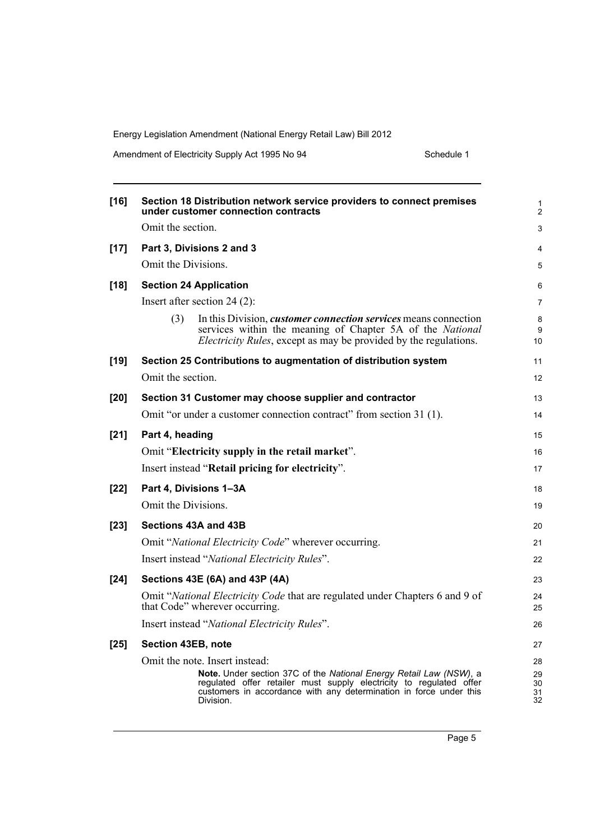Amendment of Electricity Supply Act 1995 No 94 Schedule 1

| $[16]$ | Section 18 Distribution network service providers to connect premises<br>under customer connection contracts                                                                                                                 | 1<br>$\overline{2}$  |
|--------|------------------------------------------------------------------------------------------------------------------------------------------------------------------------------------------------------------------------------|----------------------|
|        | Omit the section.                                                                                                                                                                                                            | 3                    |
| $[17]$ | Part 3, Divisions 2 and 3                                                                                                                                                                                                    | 4                    |
|        | Omit the Divisions.                                                                                                                                                                                                          | 5                    |
| $[18]$ | <b>Section 24 Application</b>                                                                                                                                                                                                | 6                    |
|        | Insert after section 24 $(2)$ :                                                                                                                                                                                              | $\overline{7}$       |
|        | (3)<br>In this Division, <i>customer connection services</i> means connection<br>services within the meaning of Chapter 5A of the National<br><i>Electricity Rules</i> , except as may be provided by the regulations.       | 8<br>9<br>10         |
| $[19]$ | Section 25 Contributions to augmentation of distribution system                                                                                                                                                              | 11                   |
|        | Omit the section.                                                                                                                                                                                                            | 12                   |
| $[20]$ | Section 31 Customer may choose supplier and contractor                                                                                                                                                                       | 13                   |
|        | Omit "or under a customer connection contract" from section 31 (1).                                                                                                                                                          | 14                   |
| $[21]$ | Part 4, heading                                                                                                                                                                                                              | 15                   |
|        | Omit "Electricity supply in the retail market".                                                                                                                                                                              | 16                   |
|        | Insert instead "Retail pricing for electricity".                                                                                                                                                                             | 17                   |
| $[22]$ | Part 4, Divisions 1-3A                                                                                                                                                                                                       | 18                   |
|        | Omit the Divisions.                                                                                                                                                                                                          | 19                   |
| $[23]$ | Sections 43A and 43B                                                                                                                                                                                                         | 20                   |
|        | Omit "National Electricity Code" wherever occurring.                                                                                                                                                                         | 21                   |
|        | Insert instead "National Electricity Rules".                                                                                                                                                                                 | 22                   |
| $[24]$ | Sections 43E (6A) and 43P (4A)                                                                                                                                                                                               | 23                   |
|        | Omit "National Electricity Code that are regulated under Chapters 6 and 9 of<br>that Code" wherever occurring.                                                                                                               | 24<br>25             |
|        | Insert instead "National Electricity Rules".                                                                                                                                                                                 | 26                   |
| $[25]$ | Section 43EB, note                                                                                                                                                                                                           | 27                   |
|        | Omit the note. Insert instead:                                                                                                                                                                                               | 28                   |
|        | Note. Under section 37C of the National Energy Retail Law (NSW), a<br>regulated offer retailer must supply electricity to regulated offer<br>customers in accordance with any determination in force under this<br>Division. | 29<br>30<br>31<br>32 |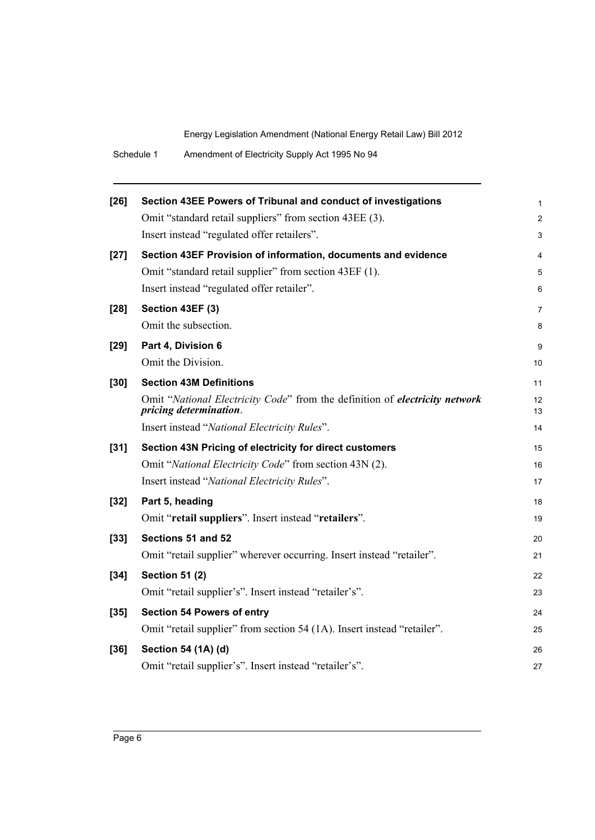| $[26]$ | Section 43EE Powers of Tribunal and conduct of investigations                                         | 1              |
|--------|-------------------------------------------------------------------------------------------------------|----------------|
|        | Omit "standard retail suppliers" from section 43EE (3).                                               | $\overline{c}$ |
|        | Insert instead "regulated offer retailers".                                                           | 3              |
| $[27]$ | Section 43EF Provision of information, documents and evidence                                         | 4              |
|        | Omit "standard retail supplier" from section 43EF (1).                                                | 5              |
|        | Insert instead "regulated offer retailer".                                                            | 6              |
| $[28]$ | Section 43EF (3)                                                                                      | 7              |
|        | Omit the subsection.                                                                                  | 8              |
| $[29]$ | Part 4, Division 6                                                                                    | 9              |
|        | Omit the Division.                                                                                    | 10             |
| $[30]$ | <b>Section 43M Definitions</b>                                                                        | 11             |
|        | Omit "National Electricity Code" from the definition of electricity network<br>pricing determination. | 12<br>13       |
|        | Insert instead "National Electricity Rules".                                                          | 14             |
| $[31]$ | Section 43N Pricing of electricity for direct customers                                               | 15             |
|        | Omit "National Electricity Code" from section 43N (2).                                                | 16             |
|        | Insert instead "National Electricity Rules".                                                          | 17             |
| $[32]$ | Part 5, heading                                                                                       | 18             |
|        | Omit "retail suppliers". Insert instead "retailers".                                                  | 19             |
| $[33]$ | Sections 51 and 52                                                                                    | 20             |
|        | Omit "retail supplier" wherever occurring. Insert instead "retailer".                                 | 21             |
| $[34]$ | <b>Section 51 (2)</b>                                                                                 | 22             |
|        | Omit "retail supplier's". Insert instead "retailer's".                                                | 23             |
| $[35]$ | <b>Section 54 Powers of entry</b>                                                                     | 24             |
|        | Omit "retail supplier" from section 54 (1A). Insert instead "retailer".                               | 25             |
| $[36]$ | Section 54 (1A) (d)                                                                                   | 26             |
|        | Omit "retail supplier's". Insert instead "retailer's".                                                | 27             |
|        |                                                                                                       |                |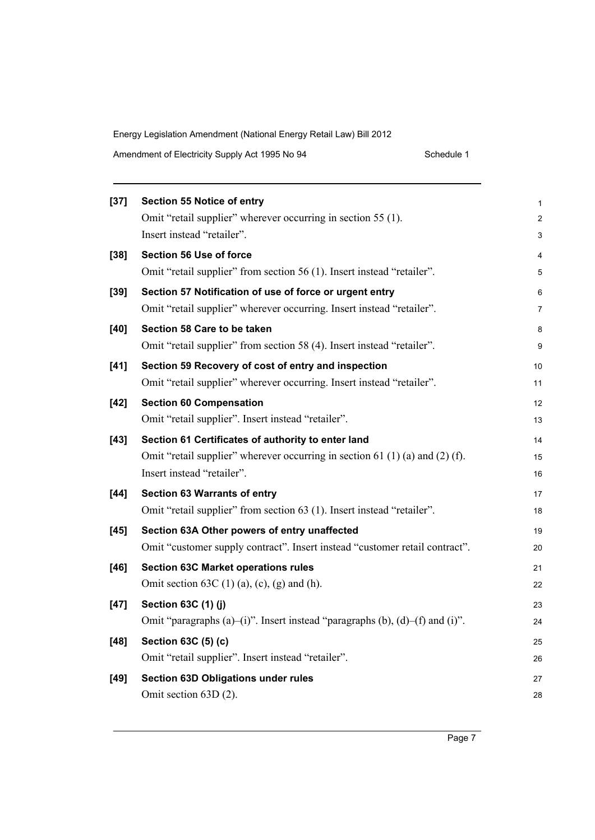| Amendment of Electricity Supply Act 1995 No 94 | Schedule 1 |
|------------------------------------------------|------------|
|------------------------------------------------|------------|

| $[37]$ | <b>Section 55 Notice of entry</b>                                            | 1              |
|--------|------------------------------------------------------------------------------|----------------|
|        | Omit "retail supplier" wherever occurring in section 55 (1).                 | $\overline{c}$ |
|        | Insert instead "retailer".                                                   | 3              |
| $[38]$ | <b>Section 56 Use of force</b>                                               | 4              |
|        | Omit "retail supplier" from section 56 (1). Insert instead "retailer".       | 5              |
| $[39]$ | Section 57 Notification of use of force or urgent entry                      | 6              |
|        | Omit "retail supplier" wherever occurring. Insert instead "retailer".        | 7              |
| $[40]$ | Section 58 Care to be taken                                                  | 8              |
|        | Omit "retail supplier" from section 58 (4). Insert instead "retailer".       | 9              |
| $[41]$ | Section 59 Recovery of cost of entry and inspection                          | 10             |
|        | Omit "retail supplier" wherever occurring. Insert instead "retailer".        | 11             |
| $[42]$ | <b>Section 60 Compensation</b>                                               | 12             |
|        | Omit "retail supplier". Insert instead "retailer".                           | 13             |
| $[43]$ | Section 61 Certificates of authority to enter land                           | 14             |
|        | Omit "retail supplier" wherever occurring in section 61 (1) (a) and (2) (f). | 15             |
|        | Insert instead "retailer".                                                   | 16             |
| $[44]$ | <b>Section 63 Warrants of entry</b>                                          | 17             |
|        | Omit "retail supplier" from section 63 (1). Insert instead "retailer".       | 18             |
| $[45]$ | Section 63A Other powers of entry unaffected                                 | 19             |
|        | Omit "customer supply contract". Insert instead "customer retail contract".  | 20             |
| $[46]$ | <b>Section 63C Market operations rules</b>                                   | 21             |
|        | Omit section 63C $(1)$ (a), (c), (g) and (h).                                | 22             |
| $[47]$ | Section 63C (1) (j)                                                          | 23             |
|        | Omit "paragraphs (a)-(i)". Insert instead "paragraphs (b), (d)-(f) and (i)". | 24             |
| $[48]$ | Section 63C (5) (c)                                                          | 25             |
|        | Omit "retail supplier". Insert instead "retailer".                           | 26             |
| $[49]$ | <b>Section 63D Obligations under rules</b>                                   | 27             |
|        | Omit section 63D (2).                                                        | 28             |
|        |                                                                              |                |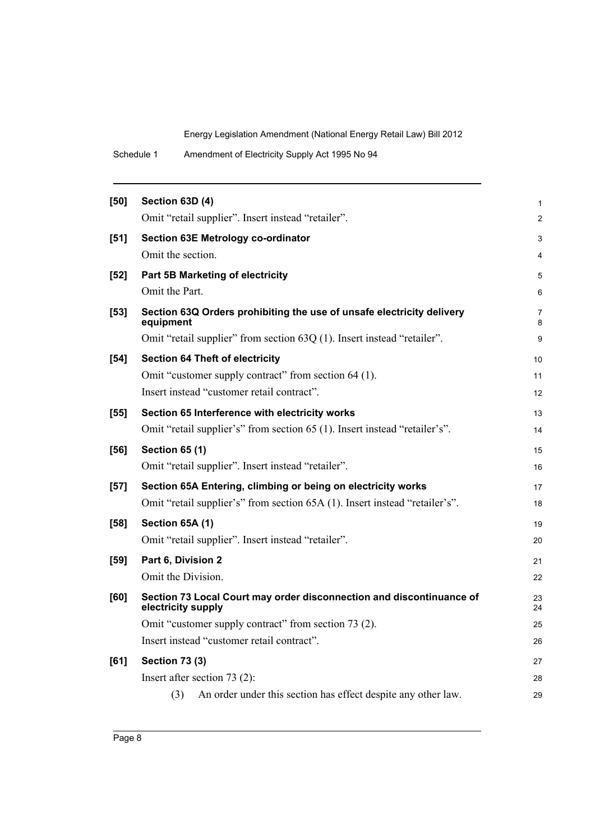| Schedule 1 | Amendment of Electricity Supply Act 1995 No 94 |
|------------|------------------------------------------------|
|------------|------------------------------------------------|

| $[50]$ | Section 63D (4)<br>Omit "retail supplier". Insert instead "retailer".                      | 1              |
|--------|--------------------------------------------------------------------------------------------|----------------|
|        |                                                                                            |                |
|        |                                                                                            | $\overline{2}$ |
| $[51]$ | <b>Section 63E Metrology co-ordinator</b>                                                  | 3              |
|        | Omit the section.                                                                          | 4              |
| $[52]$ | Part 5B Marketing of electricity                                                           | 5              |
|        | Omit the Part.                                                                             | 6              |
| $[53]$ | Section 63Q Orders prohibiting the use of unsafe electricity delivery<br>equipment         | 7<br>8         |
|        | Omit "retail supplier" from section 63Q (1). Insert instead "retailer".                    | 9              |
| $[54]$ | <b>Section 64 Theft of electricity</b>                                                     | 10             |
|        | Omit "customer supply contract" from section 64 (1).                                       | 11             |
|        | Insert instead "customer retail contract".                                                 | 12             |
| $[55]$ | Section 65 Interference with electricity works                                             | 13             |
|        | Omit "retail supplier's" from section 65 (1). Insert instead "retailer's".                 | 14             |
| $[56]$ | <b>Section 65 (1)</b>                                                                      | 15             |
|        | Omit "retail supplier". Insert instead "retailer".                                         | 16             |
| $[57]$ | Section 65A Entering, climbing or being on electricity works                               | 17             |
|        | Omit "retail supplier's" from section 65A (1). Insert instead "retailer's".                | 18             |
| $[58]$ | Section 65A (1)                                                                            | 19             |
|        | Omit "retail supplier". Insert instead "retailer".                                         | 20             |
| $[59]$ | Part 6, Division 2                                                                         | 21             |
|        | Omit the Division.                                                                         | 22             |
| [60]   | Section 73 Local Court may order disconnection and discontinuance of<br>electricity supply | 23<br>24       |
|        | Omit "customer supply contract" from section 73 (2).                                       | 25             |
|        | Insert instead "customer retail contract".                                                 | 26             |
| [61]   | <b>Section 73 (3)</b>                                                                      | 27             |
|        | Insert after section $73(2)$ :                                                             | 28             |
|        | An order under this section has effect despite any other law.<br>(3)                       | 29             |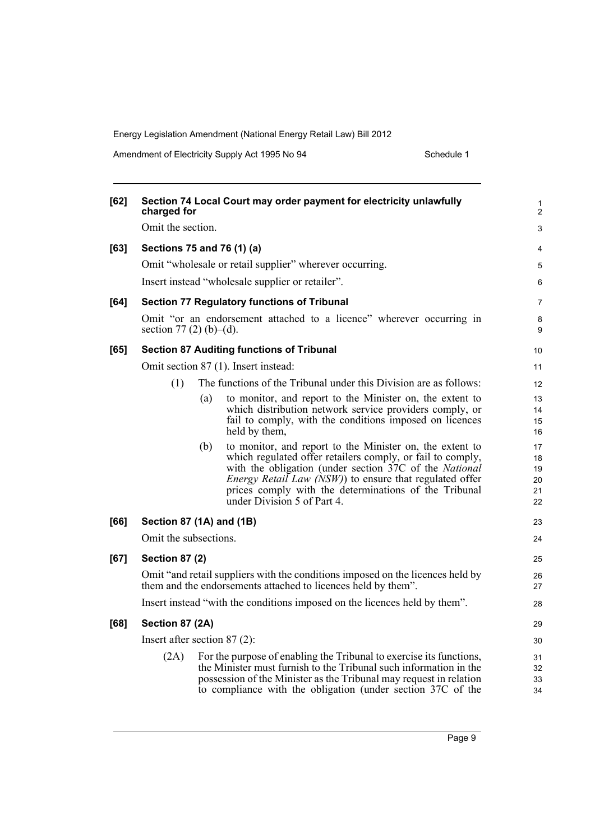Amendment of Electricity Supply Act 1995 No 94 Schedule 1

| [62]   | charged for                    |     | Section 74 Local Court may order payment for electricity unlawfully                                                                             | 1<br>$\overline{c}$ |
|--------|--------------------------------|-----|-------------------------------------------------------------------------------------------------------------------------------------------------|---------------------|
|        | Omit the section.              |     |                                                                                                                                                 | 3                   |
| [63]   | Sections 75 and 76 (1) (a)     |     |                                                                                                                                                 | 4                   |
|        |                                |     | Omit "wholesale or retail supplier" wherever occurring.                                                                                         | 5                   |
|        |                                |     | Insert instead "wholesale supplier or retailer".                                                                                                | 6                   |
| [64]   |                                |     | <b>Section 77 Regulatory functions of Tribunal</b>                                                                                              | $\overline{7}$      |
|        | section 77 (2) (b)–(d).        |     | Omit "or an endorsement attached to a licence" wherever occurring in                                                                            | 8<br>9              |
| [65]   |                                |     | <b>Section 87 Auditing functions of Tribunal</b>                                                                                                | 10                  |
|        |                                |     | Omit section 87 (1). Insert instead:                                                                                                            | 11                  |
|        | (1)                            |     | The functions of the Tribunal under this Division are as follows:                                                                               | 12                  |
|        |                                | (a) | to monitor, and report to the Minister on, the extent to                                                                                        | 13                  |
|        |                                |     | which distribution network service providers comply, or<br>fail to comply, with the conditions imposed on licences                              | 14<br>15            |
|        |                                |     | held by them,                                                                                                                                   | 16                  |
|        |                                | (b) | to monitor, and report to the Minister on, the extent to<br>which regulated offer retailers comply, or fail to comply,                          | 17<br>18            |
|        |                                |     | with the obligation (under section 37C of the <i>National</i>                                                                                   | 19                  |
|        |                                |     | <i>Energy Retail Law (NSW)</i> ) to ensure that regulated offer<br>prices comply with the determinations of the Tribunal                        | 20<br>21            |
|        |                                |     | under Division 5 of Part 4.                                                                                                                     | 22                  |
| [66]   | Section 87 (1A) and (1B)       |     | 23                                                                                                                                              |                     |
|        | Omit the subsections.          |     | 24                                                                                                                                              |                     |
| $[67]$ | <b>Section 87 (2)</b>          |     |                                                                                                                                                 | 25                  |
|        |                                |     | Omit "and retail suppliers with the conditions imposed on the licences held by<br>them and the endorsements attached to licences held by them". | 26<br>27            |
|        |                                |     | Insert instead "with the conditions imposed on the licences held by them".                                                                      | 28                  |
| [68]   | Section 87 (2A)                |     |                                                                                                                                                 | 29                  |
|        | Insert after section $87(2)$ : |     |                                                                                                                                                 | 30                  |
|        | (2A)                           |     | For the purpose of enabling the Tribunal to exercise its functions,                                                                             | 31                  |
|        |                                |     | the Minister must furnish to the Tribunal such information in the<br>possession of the Minister as the Tribunal may request in relation         | 32<br>33            |
|        |                                |     | to compliance with the obligation (under section 37C of the                                                                                     | 34                  |
|        |                                |     |                                                                                                                                                 |                     |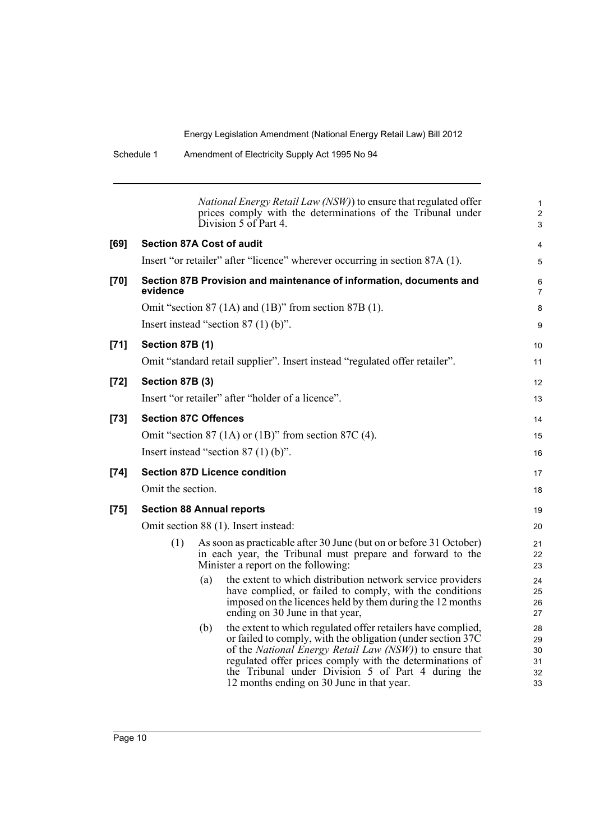|        |                                  |     | National Energy Retail Law (NSW)) to ensure that regulated offer<br>prices comply with the determinations of the Tribunal under<br>Division 5 of Part 4.                                                                                                                                                                                                       | $\mathbf{1}$<br>$\overline{2}$<br>3 |
|--------|----------------------------------|-----|----------------------------------------------------------------------------------------------------------------------------------------------------------------------------------------------------------------------------------------------------------------------------------------------------------------------------------------------------------------|-------------------------------------|
| [69]   | <b>Section 87A Cost of audit</b> |     |                                                                                                                                                                                                                                                                                                                                                                | 4                                   |
|        |                                  |     | Insert "or retailer" after "licence" wherever occurring in section 87A (1).                                                                                                                                                                                                                                                                                    | 5                                   |
| [70]   | evidence                         |     | Section 87B Provision and maintenance of information, documents and                                                                                                                                                                                                                                                                                            | 6<br>7                              |
|        |                                  |     | Omit "section 87 (1A) and (1B)" from section 87B (1).                                                                                                                                                                                                                                                                                                          | 8                                   |
|        |                                  |     | Insert instead "section $87(1)(b)$ ".                                                                                                                                                                                                                                                                                                                          | 9                                   |
| $[71]$ | <b>Section 87B (1)</b>           |     |                                                                                                                                                                                                                                                                                                                                                                | 10                                  |
|        |                                  |     | Omit "standard retail supplier". Insert instead "regulated offer retailer".                                                                                                                                                                                                                                                                                    | 11                                  |
| $[72]$ | Section 87B (3)                  |     |                                                                                                                                                                                                                                                                                                                                                                | 12                                  |
|        |                                  |     | Insert "or retailer" after "holder of a licence".                                                                                                                                                                                                                                                                                                              | 13                                  |
| $[73]$ | <b>Section 87C Offences</b>      |     |                                                                                                                                                                                                                                                                                                                                                                | 14                                  |
|        |                                  |     | Omit "section $87$ (1A) or (1B)" from section $87C$ (4).                                                                                                                                                                                                                                                                                                       | 15                                  |
|        |                                  |     | Insert instead "section $87(1)$ (b)".                                                                                                                                                                                                                                                                                                                          | 16                                  |
| $[74]$ |                                  |     | <b>Section 87D Licence condition</b>                                                                                                                                                                                                                                                                                                                           | 17                                  |
|        | Omit the section.                |     |                                                                                                                                                                                                                                                                                                                                                                | 18                                  |
| $[75]$ | <b>Section 88 Annual reports</b> |     |                                                                                                                                                                                                                                                                                                                                                                | 19                                  |
|        |                                  |     | Omit section 88 (1). Insert instead:                                                                                                                                                                                                                                                                                                                           | 20                                  |
|        | (1)                              |     | As soon as practicable after 30 June (but on or before 31 October)<br>in each year, the Tribunal must prepare and forward to the<br>Minister a report on the following:                                                                                                                                                                                        | 21<br>22<br>23                      |
|        |                                  | (a) | the extent to which distribution network service providers<br>have complied, or failed to comply, with the conditions<br>imposed on the licences held by them during the 12 months<br>ending on 30 June in that year,                                                                                                                                          | 24<br>25<br>26<br>27                |
|        |                                  | (b) | the extent to which regulated offer retailers have complied,<br>or failed to comply, with the obligation (under section 37C)<br>of the <i>National Energy Retail Law (NSW)</i> ) to ensure that<br>regulated offer prices comply with the determinations of<br>the Tribunal under Division 5 of Part 4 during the<br>12 months ending on 30 June in that year. | 28<br>29<br>30<br>31<br>32<br>33    |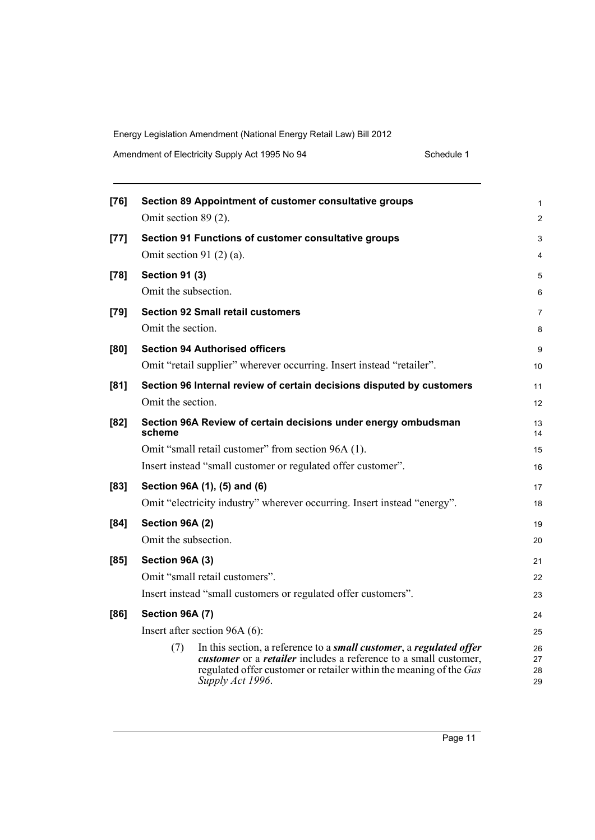Amendment of Electricity Supply Act 1995 No 94 Schedule 1

| $[76]$ | Section 89 Appointment of customer consultative groups                                                                                                                                                                                                  | 1              |
|--------|---------------------------------------------------------------------------------------------------------------------------------------------------------------------------------------------------------------------------------------------------------|----------------|
|        | Omit section 89 (2).                                                                                                                                                                                                                                    | $\overline{c}$ |
| $[77]$ | Section 91 Functions of customer consultative groups                                                                                                                                                                                                    | 3              |
|        | Omit section 91 $(2)$ $(a)$ .                                                                                                                                                                                                                           | 4              |
| $[78]$ | <b>Section 91 (3)</b>                                                                                                                                                                                                                                   | 5              |
|        | Omit the subsection.                                                                                                                                                                                                                                    | 6              |
| $[79]$ | <b>Section 92 Small retail customers</b>                                                                                                                                                                                                                | 7              |
|        | Omit the section.                                                                                                                                                                                                                                       | 8              |
| [80]   | <b>Section 94 Authorised officers</b>                                                                                                                                                                                                                   | 9              |
|        | Omit "retail supplier" wherever occurring. Insert instead "retailer".                                                                                                                                                                                   | 10             |
| [81]   | Section 96 Internal review of certain decisions disputed by customers                                                                                                                                                                                   | 11             |
|        | Omit the section.                                                                                                                                                                                                                                       | 12             |
| [82]   | Section 96A Review of certain decisions under energy ombudsman<br>scheme                                                                                                                                                                                | 13<br>14       |
|        | Omit "small retail customer" from section 96A (1).                                                                                                                                                                                                      | 15             |
|        | Insert instead "small customer or regulated offer customer".                                                                                                                                                                                            | 16             |
| $[83]$ | Section 96A (1), (5) and (6)                                                                                                                                                                                                                            | 17             |
|        | Omit "electricity industry" wherever occurring. Insert instead "energy".                                                                                                                                                                                | 18             |
| [84]   | Section 96A (2)                                                                                                                                                                                                                                         | 19             |
|        | Omit the subsection.                                                                                                                                                                                                                                    | 20             |
| [85]   | Section 96A (3)                                                                                                                                                                                                                                         | 21             |
|        | Omit "small retail customers".                                                                                                                                                                                                                          | 22             |
|        | Insert instead "small customers or regulated offer customers".                                                                                                                                                                                          | 23             |
| [86]   | Section 96A (7)                                                                                                                                                                                                                                         | 24             |
|        | Insert after section $96A(6)$ :                                                                                                                                                                                                                         | 25             |
|        | In this section, a reference to a <i>small customer</i> , a <i>regulated offer</i><br>(7)<br>customer or a retailer includes a reference to a small customer,<br>regulated offer customer or retailer within the meaning of the Gas<br>Supply Act 1996. | 26<br>27<br>28 |
|        |                                                                                                                                                                                                                                                         | 29             |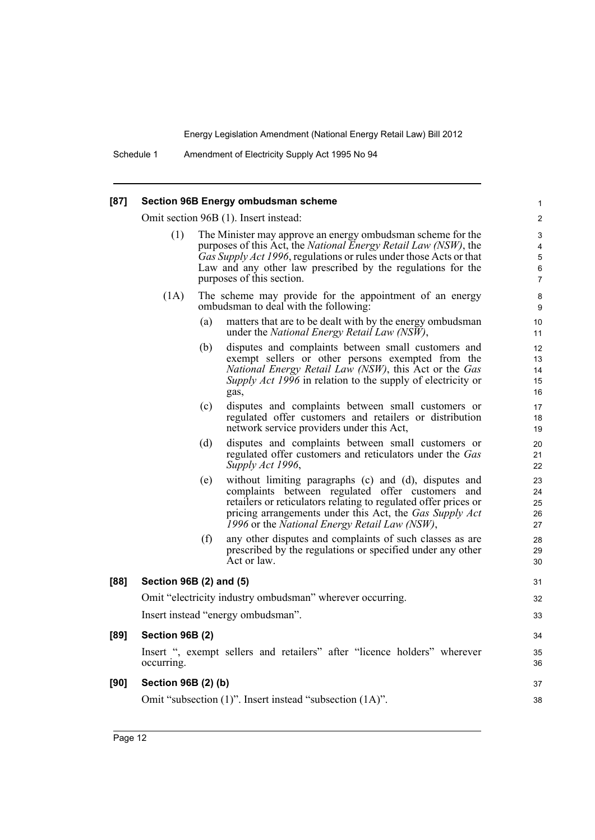Schedule 1 Amendment of Electricity Supply Act 1995 No 94

#### **[87] Section 96B Energy ombudsman scheme**

Omit section 96B (1). Insert instead:

- (1) The Minister may approve an energy ombudsman scheme for the purposes of this Act, the *National Energy Retail Law (NSW)*, the *Gas Supply Act 1996*, regulations or rules under those Acts or that Law and any other law prescribed by the regulations for the purposes of this section.
- (1A) The scheme may provide for the appointment of an energy ombudsman to deal with the following:
	- (a) matters that are to be dealt with by the energy ombudsman under the *National Energy Retail Law (NSW)*,

- (b) disputes and complaints between small customers and exempt sellers or other persons exempted from the *National Energy Retail Law (NSW)*, this Act or the *Gas Supply Act 1996* in relation to the supply of electricity or gas,
- (c) disputes and complaints between small customers or regulated offer customers and retailers or distribution network service providers under this Act,
- (d) disputes and complaints between small customers or regulated offer customers and reticulators under the *Gas Supply Act 1996*,
- (e) without limiting paragraphs (c) and (d), disputes and complaints between regulated offer customers and retailers or reticulators relating to regulated offer prices or pricing arrangements under this Act, the *Gas Supply Act 1996* or the *National Energy Retail Law (NSW)*,
- (f) any other disputes and complaints of such classes as are prescribed by the regulations or specified under any other Act or law.

|      | prescribed by the regulations or specified under any other<br>Act or law.              | 29<br>30 |
|------|----------------------------------------------------------------------------------------|----------|
| [88] | Section 96B (2) and (5)                                                                | 31       |
|      | Omit "electricity industry ombudsman" wherever occurring.                              | 32       |
|      | Insert instead "energy ombudsman".                                                     | 33       |
| [89] | Section 96B (2)                                                                        | 34       |
|      | Insert ", exempt sellers and retailers" after "licence holders" wherever<br>occurring. | 35<br>36 |
| [90] | Section 96B (2) (b)                                                                    | 37       |
|      | Omit "subsection (1)". Insert instead "subsection (1A)".                               | 38       |
|      |                                                                                        |          |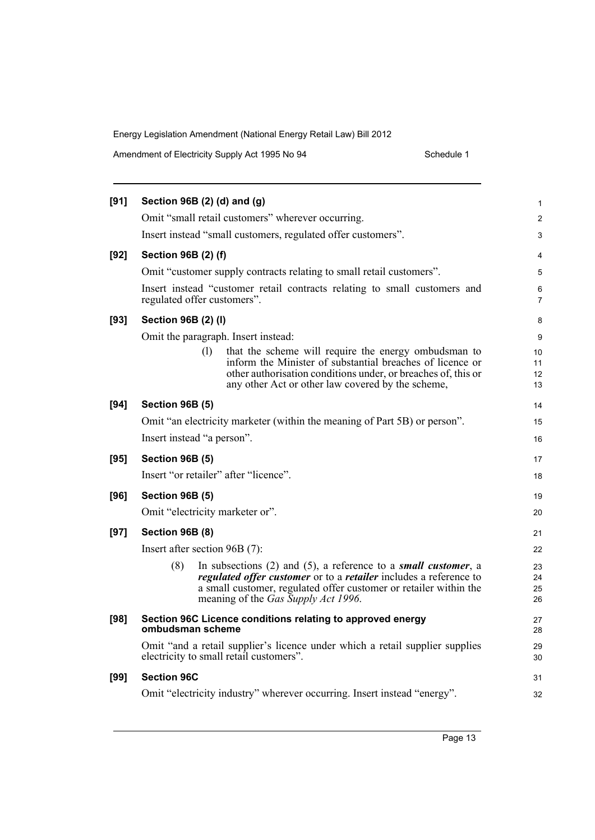Amendment of Electricity Supply Act 1995 No 94 Schedule 1

| [91]   | Section 96B (2) (d) and (g)                                                                                                                                                                                                                                 | 1                    |
|--------|-------------------------------------------------------------------------------------------------------------------------------------------------------------------------------------------------------------------------------------------------------------|----------------------|
|        | Omit "small retail customers" wherever occurring.                                                                                                                                                                                                           | $\overline{c}$       |
|        | Insert instead "small customers, regulated offer customers".                                                                                                                                                                                                | 3                    |
| $[92]$ | Section 96B (2) (f)                                                                                                                                                                                                                                         | 4                    |
|        | Omit "customer supply contracts relating to small retail customers".                                                                                                                                                                                        | 5                    |
|        | Insert instead "customer retail contracts relating to small customers and<br>regulated offer customers".                                                                                                                                                    | 6<br>$\overline{7}$  |
| $[93]$ | Section 96B (2) (I)                                                                                                                                                                                                                                         | 8                    |
|        | Omit the paragraph. Insert instead:                                                                                                                                                                                                                         | 9                    |
|        | that the scheme will require the energy ombudsman to<br>(1)<br>inform the Minister of substantial breaches of licence or<br>other authorisation conditions under, or breaches of, this or<br>any other Act or other law covered by the scheme,              | 10<br>11<br>12<br>13 |
| [94]   | <b>Section 96B (5)</b>                                                                                                                                                                                                                                      | 14                   |
|        | Omit "an electricity marketer (within the meaning of Part 5B) or person".                                                                                                                                                                                   | 15                   |
|        | Insert instead "a person".                                                                                                                                                                                                                                  | 16                   |
| [95]   | <b>Section 96B (5)</b>                                                                                                                                                                                                                                      | 17                   |
|        |                                                                                                                                                                                                                                                             |                      |
|        | Insert "or retailer" after "licence".                                                                                                                                                                                                                       | 18                   |
| [96]   | <b>Section 96B (5)</b>                                                                                                                                                                                                                                      | 19                   |
|        | Omit "electricity marketer or".                                                                                                                                                                                                                             | 20                   |
| $[97]$ | <b>Section 96B (8)</b>                                                                                                                                                                                                                                      | 21                   |
|        | Insert after section 96B (7):                                                                                                                                                                                                                               | 22                   |
|        | In subsections $(2)$ and $(5)$ , a reference to a small customer, a<br>(8)<br>regulated offer customer or to a retailer includes a reference to<br>a small customer, regulated offer customer or retailer within the<br>meaning of the Gas Supply Act 1996. | 23<br>24<br>25<br>26 |
| [98]   | Section 96C Licence conditions relating to approved energy<br>ombudsman scheme                                                                                                                                                                              | 27<br>28             |
|        | Omit "and a retail supplier's licence under which a retail supplier supplies<br>electricity to small retail customers".                                                                                                                                     | 29<br>30             |
| [99]   | <b>Section 96C</b>                                                                                                                                                                                                                                          | 31                   |
|        | Omit "electricity industry" wherever occurring. Insert instead "energy".                                                                                                                                                                                    | 32                   |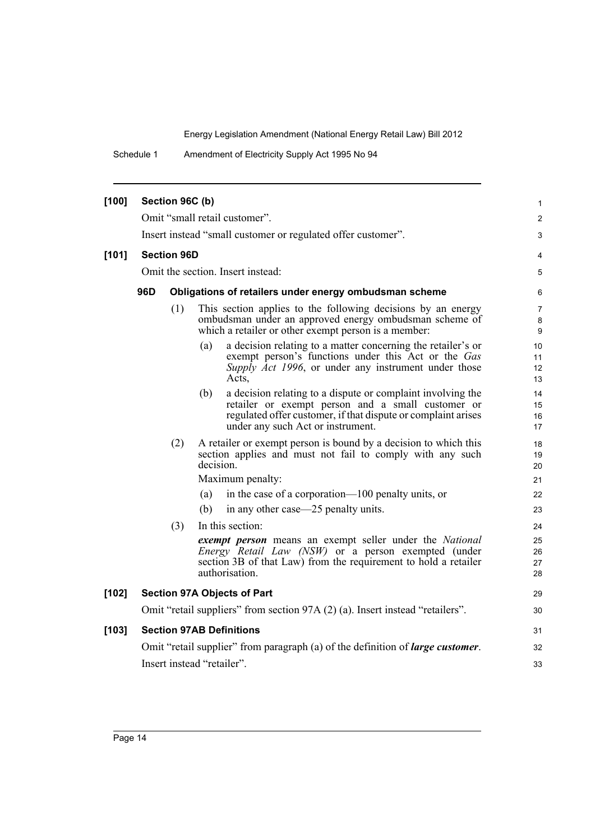Schedule 1 Amendment of Electricity Supply Act 1995 No 94

| [100] | Section 96C (b)                                               |                    |                                                                                                                                                                                                                               |                      |  |
|-------|---------------------------------------------------------------|--------------------|-------------------------------------------------------------------------------------------------------------------------------------------------------------------------------------------------------------------------------|----------------------|--|
|       |                                                               |                    | Omit "small retail customer".                                                                                                                                                                                                 | 2                    |  |
|       |                                                               |                    | Insert instead "small customer or regulated offer customer".                                                                                                                                                                  | 3                    |  |
| [101] |                                                               | <b>Section 96D</b> |                                                                                                                                                                                                                               | 4                    |  |
|       | Omit the section. Insert instead:                             |                    |                                                                                                                                                                                                                               | 5                    |  |
|       | 96D<br>Obligations of retailers under energy ombudsman scheme |                    |                                                                                                                                                                                                                               |                      |  |
|       |                                                               | (1)                | This section applies to the following decisions by an energy<br>ombudsman under an approved energy ombudsman scheme of<br>which a retailer or other exempt person is a member:                                                | 7<br>8<br>9          |  |
|       |                                                               |                    | a decision relating to a matter concerning the retailer's or<br>(a)<br>exempt person's functions under this Act or the Gas<br>Supply Act 1996, or under any instrument under those<br>Acts,                                   | 10<br>11<br>12<br>13 |  |
|       |                                                               |                    | a decision relating to a dispute or complaint involving the<br>(b)<br>retailer or exempt person and a small customer or<br>regulated offer customer, if that dispute or complaint arises<br>under any such Act or instrument. | 14<br>15<br>16<br>17 |  |
|       |                                                               | (2)                | A retailer or exempt person is bound by a decision to which this<br>section applies and must not fail to comply with any such<br>decision.<br>Maximum penalty:                                                                | 18<br>19<br>20<br>21 |  |
|       |                                                               |                    | in the case of a corporation—100 penalty units, or<br>(a)                                                                                                                                                                     | 22                   |  |
|       |                                                               |                    | (b)<br>in any other case—25 penalty units.                                                                                                                                                                                    | 23                   |  |
|       |                                                               | (3)                | In this section:                                                                                                                                                                                                              | 24                   |  |
|       |                                                               |                    | exempt person means an exempt seller under the National<br>Energy Retail Law (NSW) or a person exempted (under<br>section 3B of that Law) from the requirement to hold a retailer<br>authorisation.                           | 25<br>26<br>27<br>28 |  |
| [102] |                                                               |                    | <b>Section 97A Objects of Part</b>                                                                                                                                                                                            | 29                   |  |
|       |                                                               |                    | Omit "retail suppliers" from section 97A (2) (a). Insert instead "retailers".                                                                                                                                                 | 30                   |  |
| [103] |                                                               |                    | <b>Section 97AB Definitions</b>                                                                                                                                                                                               | 31                   |  |
|       |                                                               |                    | Omit "retail supplier" from paragraph (a) of the definition of <i>large customer</i> .                                                                                                                                        | 32                   |  |
|       |                                                               |                    | Insert instead "retailer".                                                                                                                                                                                                    | 33                   |  |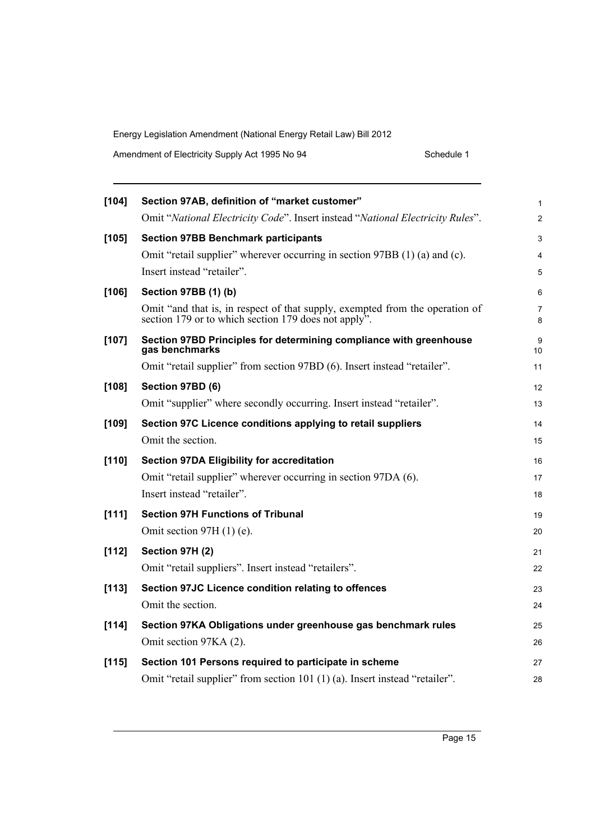| Amendment of Electricity Supply Act 1995 No 94 | Schedule 1 |
|------------------------------------------------|------------|
|------------------------------------------------|------------|

| $[104]$ | Section 97AB, definition of "market customer"                                                                                        | 1              |
|---------|--------------------------------------------------------------------------------------------------------------------------------------|----------------|
|         | Omit "National Electricity Code". Insert instead "National Electricity Rules".                                                       | $\overline{c}$ |
| [105]   | <b>Section 97BB Benchmark participants</b>                                                                                           | 3              |
|         | Omit "retail supplier" wherever occurring in section 97BB (1) (a) and (c).                                                           | 4              |
|         | Insert instead "retailer".                                                                                                           | 5              |
| [106]   | Section 97BB (1) (b)                                                                                                                 | 6              |
|         | Omit "and that is, in respect of that supply, exempted from the operation of<br>section 179 or to which section 179 does not apply". | 7<br>8         |
| $[107]$ | Section 97BD Principles for determining compliance with greenhouse<br>gas benchmarks                                                 | 9<br>10        |
|         | Omit "retail supplier" from section 97BD (6). Insert instead "retailer".                                                             | 11             |
| $[108]$ | Section 97BD (6)                                                                                                                     | 12             |
|         | Omit "supplier" where secondly occurring. Insert instead "retailer".                                                                 | 13             |
| [109]   | Section 97C Licence conditions applying to retail suppliers                                                                          | 14             |
|         | Omit the section.                                                                                                                    | 15             |
| $[110]$ | <b>Section 97DA Eligibility for accreditation</b>                                                                                    | 16             |
|         | Omit "retail supplier" wherever occurring in section 97DA (6).                                                                       | 17             |
|         | Insert instead "retailer".                                                                                                           | 18             |
| [111]   | <b>Section 97H Functions of Tribunal</b>                                                                                             | 19             |
|         | Omit section 97H $(1)$ $(e)$ .                                                                                                       | 20             |
| [112]   | Section 97H (2)                                                                                                                      | 21             |
|         | Omit "retail suppliers". Insert instead "retailers".                                                                                 | 22             |
| [113]   | Section 97JC Licence condition relating to offences                                                                                  | 23             |
|         | Omit the section.                                                                                                                    | 24             |
| [114]   | Section 97KA Obligations under greenhouse gas benchmark rules                                                                        | 25             |
|         | Omit section 97KA (2).                                                                                                               | 26             |
| [115]   | Section 101 Persons required to participate in scheme                                                                                | 27             |
|         | Omit "retail supplier" from section 101 (1) (a). Insert instead "retailer".                                                          | 28             |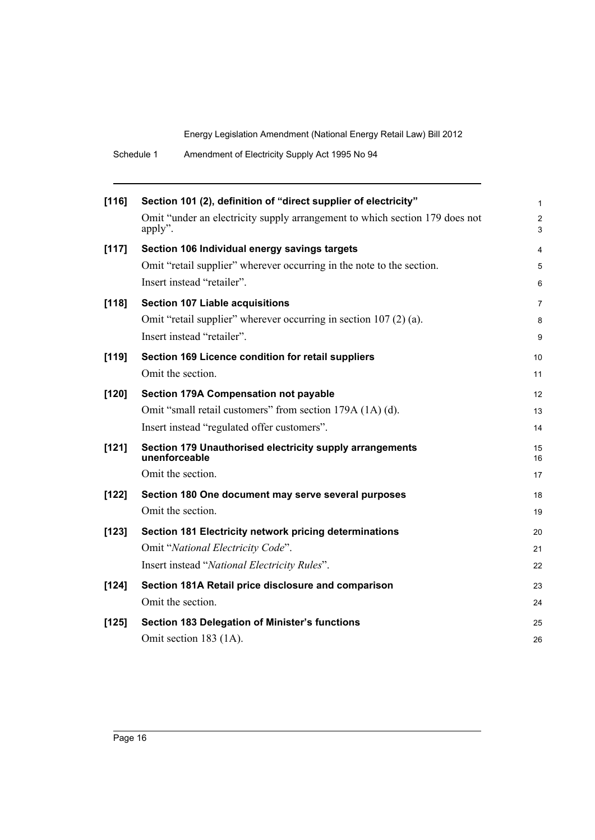| Amendment of Electricity Supply Act 1995 No 94<br>Schedule 1 |  |
|--------------------------------------------------------------|--|
|--------------------------------------------------------------|--|

| [116]   | Section 101 (2), definition of "direct supplier of electricity"                          | $\mathbf{1}$        |
|---------|------------------------------------------------------------------------------------------|---------------------|
|         | Omit "under an electricity supply arrangement to which section 179 does not<br>$apply$ . | $\overline{2}$<br>3 |
| [117]   | Section 106 Individual energy savings targets                                            | 4                   |
|         | Omit "retail supplier" wherever occurring in the note to the section.                    | 5                   |
|         | Insert instead "retailer".                                                               | 6                   |
| [118]   | <b>Section 107 Liable acquisitions</b>                                                   | $\overline{7}$      |
|         | Omit "retail supplier" wherever occurring in section 107 (2) (a).                        | 8                   |
|         | Insert instead "retailer".                                                               | 9                   |
| $[119]$ | Section 169 Licence condition for retail suppliers                                       | 10                  |
|         | Omit the section.                                                                        | 11                  |
| $[120]$ | Section 179A Compensation not payable                                                    | $12 \overline{ }$   |
|         | Omit "small retail customers" from section 179A (1A) (d).                                | 13                  |
|         | Insert instead "regulated offer customers".                                              | 14                  |
| [121]   | Section 179 Unauthorised electricity supply arrangements<br>unenforceable                | 15<br>16            |
|         | Omit the section.                                                                        | 17                  |
| $[122]$ | Section 180 One document may serve several purposes                                      | 18                  |
|         | Omit the section.                                                                        | 19                  |
| [123]   | Section 181 Electricity network pricing determinations                                   | 20                  |
|         | Omit "National Electricity Code".                                                        | 21                  |
|         | Insert instead "National Electricity Rules".                                             | 22                  |
| $[124]$ | Section 181A Retail price disclosure and comparison                                      | 23                  |
|         | Omit the section.                                                                        | 24                  |
| $[125]$ | Section 183 Delegation of Minister's functions                                           | 25                  |
|         | Omit section 183 (1A).                                                                   | 26                  |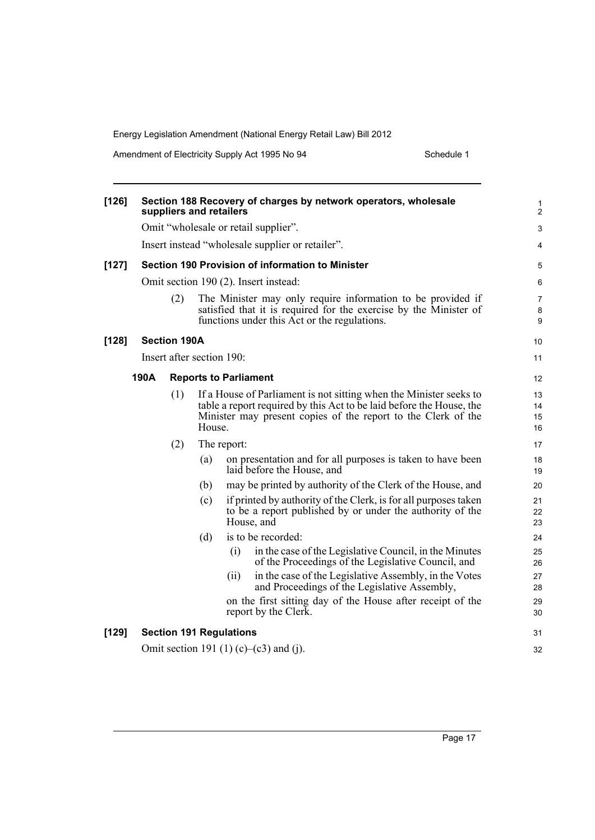Amendment of Electricity Supply Act 1995 No 94 Schedule 1

| [126]   |      |                     |                           | Section 188 Recovery of charges by network operators, wholesale<br>suppliers and retailers                                                                                                                  | 1<br>$\overline{c}$  |
|---------|------|---------------------|---------------------------|-------------------------------------------------------------------------------------------------------------------------------------------------------------------------------------------------------------|----------------------|
|         |      |                     |                           | Omit "wholesale or retail supplier".                                                                                                                                                                        | 3                    |
|         |      |                     |                           | Insert instead "wholesale supplier or retailer".                                                                                                                                                            | 4                    |
| $[127]$ |      |                     |                           | Section 190 Provision of information to Minister                                                                                                                                                            | 5                    |
|         |      |                     |                           | Omit section 190 (2). Insert instead:                                                                                                                                                                       | 6                    |
|         | (2)  |                     |                           | The Minister may only require information to be provided if<br>satisfied that it is required for the exercise by the Minister of<br>functions under this Act or the regulations.                            |                      |
| $[128]$ |      | <b>Section 190A</b> |                           |                                                                                                                                                                                                             | 10                   |
|         |      |                     | Insert after section 190: |                                                                                                                                                                                                             | 11                   |
|         | 190A |                     |                           | <b>Reports to Parliament</b>                                                                                                                                                                                |                      |
|         |      | (1)                 | House.                    | If a House of Parliament is not sitting when the Minister seeks to<br>table a report required by this Act to be laid before the House, the<br>Minister may present copies of the report to the Clerk of the | 13<br>14<br>15<br>16 |
|         |      | (2)                 |                           | The report:                                                                                                                                                                                                 | 17                   |
|         |      |                     | (a)                       | on presentation and for all purposes is taken to have been<br>laid before the House, and                                                                                                                    | 18<br>19             |
|         |      |                     | (b)                       | may be printed by authority of the Clerk of the House, and                                                                                                                                                  | 20                   |
|         |      |                     | (c)                       | if printed by authority of the Clerk, is for all purposes taken<br>to be a report published by or under the authority of the<br>House, and                                                                  | 21<br>22<br>23       |
|         |      |                     | (d)                       | is to be recorded:                                                                                                                                                                                          | 24                   |
|         |      |                     |                           | (i)<br>in the case of the Legislative Council, in the Minutes<br>of the Proceedings of the Legislative Council, and                                                                                         | 25<br>26             |
|         |      |                     |                           | in the case of the Legislative Assembly, in the Votes<br>(ii)<br>and Proceedings of the Legislative Assembly,                                                                                               | 27<br>28             |
|         |      |                     |                           | on the first sitting day of the House after receipt of the<br>report by the Clerk.                                                                                                                          | 29<br>30             |
| [129]   |      |                     |                           | <b>Section 191 Regulations</b>                                                                                                                                                                              | 31                   |
|         |      |                     |                           | Omit section 191 (1) (c)–(c3) and (j).                                                                                                                                                                      | 32                   |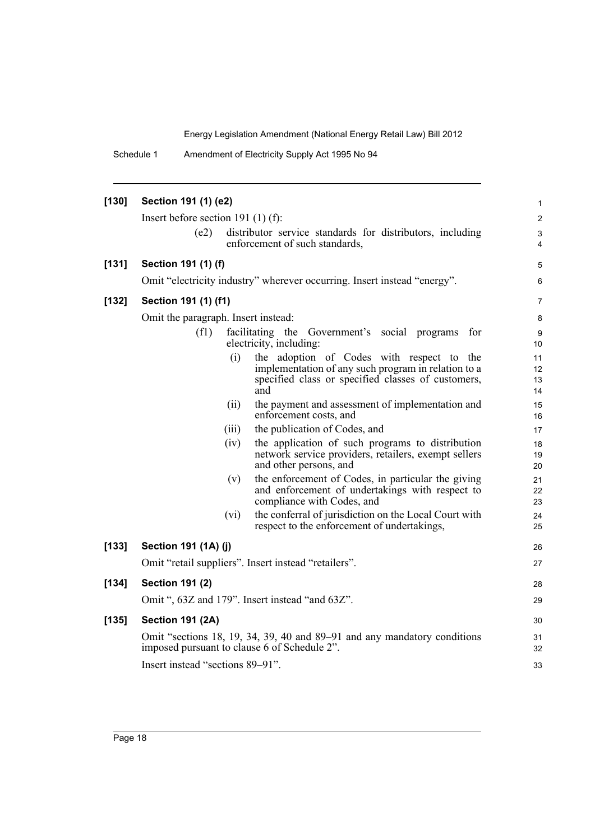Schedule 1 Amendment of Electricity Supply Act 1995 No 94

| [130] | Section 191 (1) (e2)                    |       |                                                                                                                                                               | 1                    |
|-------|-----------------------------------------|-------|---------------------------------------------------------------------------------------------------------------------------------------------------------------|----------------------|
|       | Insert before section 191 $(1)$ $(f)$ : |       |                                                                                                                                                               |                      |
|       | (e2)                                    |       | distributor service standards for distributors, including<br>enforcement of such standards,                                                                   | 3<br>4               |
| [131] | Section 191 (1) (f)                     |       |                                                                                                                                                               | 5                    |
|       |                                         |       | Omit "electricity industry" wherever occurring. Insert instead "energy".                                                                                      | 6                    |
| [132] | Section 191 (1) (f1)                    |       |                                                                                                                                                               | 7                    |
|       | Omit the paragraph. Insert instead:     |       |                                                                                                                                                               | 8                    |
|       | (f1)                                    |       | facilitating the Government's social programs<br>for<br>electricity, including:                                                                               | 9<br>10              |
|       |                                         | (i)   | the adoption of Codes with respect to the<br>implementation of any such program in relation to a<br>specified class or specified classes of customers,<br>and | 11<br>12<br>13<br>14 |
|       |                                         | (ii)  | the payment and assessment of implementation and<br>enforcement costs, and                                                                                    | 15<br>16             |
|       |                                         | (iii) | the publication of Codes, and                                                                                                                                 | 17                   |
|       |                                         | (iv)  | the application of such programs to distribution<br>network service providers, retailers, exempt sellers<br>and other persons, and                            | 18<br>19<br>20       |
|       |                                         | (v)   | the enforcement of Codes, in particular the giving<br>and enforcement of undertakings with respect to<br>compliance with Codes, and                           | 21<br>22<br>23       |
|       |                                         | (vi)  | the conferral of jurisdiction on the Local Court with<br>respect to the enforcement of undertakings,                                                          | 24<br>25             |
| [133] | Section 191 (1A) (j)                    |       |                                                                                                                                                               | 26                   |
|       |                                         |       | Omit "retail suppliers". Insert instead "retailers".                                                                                                          | 27                   |
| [134] | <b>Section 191 (2)</b>                  |       |                                                                                                                                                               | 28                   |
|       |                                         |       | Omit ", 63Z and 179". Insert instead "and 63Z".                                                                                                               | 29                   |
| [135] | <b>Section 191 (2A)</b>                 |       |                                                                                                                                                               | 30                   |
|       |                                         |       | Omit "sections 18, 19, 34, 39, 40 and 89–91 and any mandatory conditions<br>imposed pursuant to clause 6 of Schedule 2".                                      | 31<br>32             |
|       | Insert instead "sections 89–91".        |       |                                                                                                                                                               | 33                   |
|       |                                         |       |                                                                                                                                                               |                      |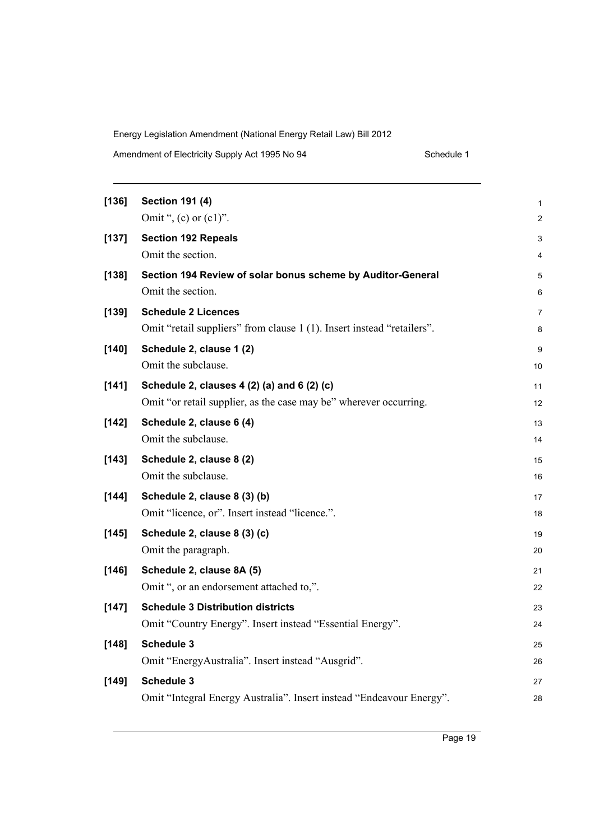Amendment of Electricity Supply Act 1995 No 94 Schedule 1

| [136]   | <b>Section 191 (4)</b>                                                 | 1              |
|---------|------------------------------------------------------------------------|----------------|
|         | Omit ", (c) or $(c1)$ ".                                               | $\overline{c}$ |
| [137]   | <b>Section 192 Repeals</b>                                             | 3              |
|         | Omit the section.                                                      | 4              |
| [138]   | Section 194 Review of solar bonus scheme by Auditor-General            | 5              |
|         | Omit the section.                                                      | 6              |
| [139]   | <b>Schedule 2 Licences</b>                                             | 7              |
|         | Omit "retail suppliers" from clause 1 (1). Insert instead "retailers". | 8              |
| [140]   | Schedule 2, clause 1 (2)                                               | 9              |
|         | Omit the subclause.                                                    | 10             |
| [141]   | Schedule 2, clauses 4 (2) (a) and 6 (2) (c)                            | 11             |
|         | Omit "or retail supplier, as the case may be" wherever occurring.      | 12             |
| $[142]$ | Schedule 2, clause 6 (4)                                               | 13             |
|         | Omit the subclause.                                                    | 14             |
| [143]   | Schedule 2, clause 8 (2)                                               | 15             |
|         | Omit the subclause.                                                    | 16             |
| $[144]$ | Schedule 2, clause 8 (3) (b)                                           | 17             |
|         | Omit "licence, or". Insert instead "licence.".                         | 18             |
| [145]   | Schedule 2, clause 8 (3) (c)                                           | 19             |
|         | Omit the paragraph.                                                    | 20             |
| [146]   | Schedule 2, clause 8A (5)                                              | 21             |
|         | Omit ", or an endorsement attached to,".                               | 22             |
| [147]   | <b>Schedule 3 Distribution districts</b>                               | 23             |
|         | Omit "Country Energy". Insert instead "Essential Energy".              | 24             |
| [148]   | <b>Schedule 3</b>                                                      | 25             |
|         | Omit "EnergyAustralia". Insert instead "Ausgrid".                      | 26             |
| [149]   | Schedule 3                                                             | 27             |
|         | Omit "Integral Energy Australia". Insert instead "Endeavour Energy".   | 28             |
|         |                                                                        |                |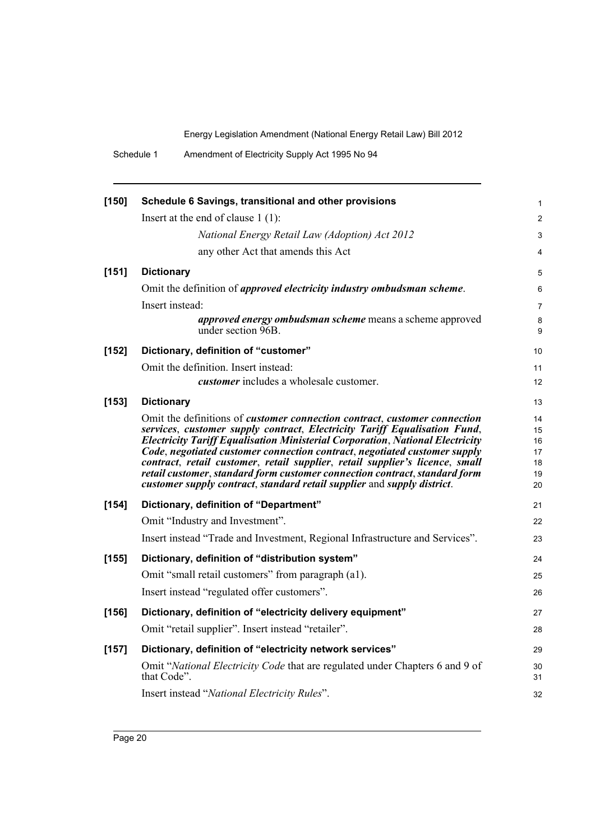Schedule 1 Amendment of Electricity Supply Act 1995 No 94

| $[150]$ | Schedule 6 Savings, transitional and other provisions                                                                                                             |
|---------|-------------------------------------------------------------------------------------------------------------------------------------------------------------------|
|         | Insert at the end of clause $1(1)$ :                                                                                                                              |
|         | National Energy Retail Law (Adoption) Act 2012                                                                                                                    |
|         | any other Act that amends this Act                                                                                                                                |
| [151]   | <b>Dictionary</b>                                                                                                                                                 |
|         | Omit the definition of <i>approved electricity industry ombudsman scheme</i> .                                                                                    |
|         | Insert instead:                                                                                                                                                   |
|         | <i>approved energy ombudsman scheme</i> means a scheme approved<br>under section 96B.                                                                             |
| [152]   | Dictionary, definition of "customer"                                                                                                                              |
|         | Omit the definition. Insert instead:                                                                                                                              |
|         | <i>customer</i> includes a wholesale customer.                                                                                                                    |
| [153]   | <b>Dictionary</b>                                                                                                                                                 |
|         | Omit the definitions of <i>customer connection contract</i> , <i>customer connection</i>                                                                          |
|         | services, customer supply contract, Electricity Tariff Equalisation Fund,<br><b>Electricity Tariff Equalisation Ministerial Corporation, National Electricity</b> |
|         | Code, negotiated customer connection contract, negotiated customer supply                                                                                         |
|         | contract, retail customer, retail supplier, retail supplier's licence, small<br>retail customer, standard form customer connection contract, standard form        |
|         | customer supply contract, standard retail supplier and supply district.                                                                                           |
| $[154]$ | Dictionary, definition of "Department"                                                                                                                            |
|         | Omit "Industry and Investment".                                                                                                                                   |
|         | Insert instead "Trade and Investment, Regional Infrastructure and Services".                                                                                      |
| [155]   | Dictionary, definition of "distribution system"                                                                                                                   |
|         | Omit "small retail customers" from paragraph (a1).                                                                                                                |
|         | Insert instead "regulated offer customers".                                                                                                                       |
| [156]   | Dictionary, definition of "electricity delivery equipment"                                                                                                        |
|         | Omit "retail supplier". Insert instead "retailer".                                                                                                                |
| $[157]$ | Dictionary, definition of "electricity network services"                                                                                                          |
|         | Omit "National Electricity Code that are regulated under Chapters 6 and 9 of<br>that Code".                                                                       |
|         | Insert instead "National Electricity Rules".                                                                                                                      |
|         |                                                                                                                                                                   |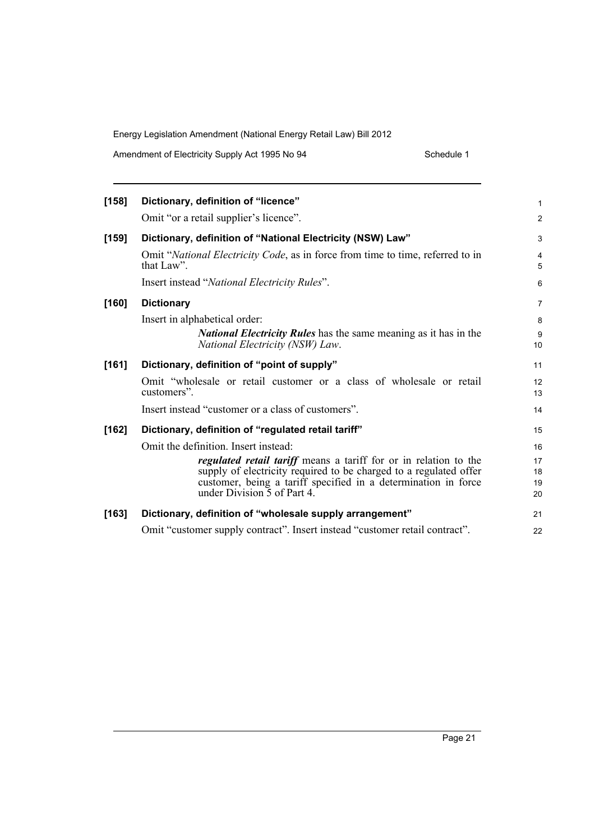Amendment of Electricity Supply Act 1995 No 94 Schedule 1

| [158] | Dictionary, definition of "licence"                                                                        | 1              |
|-------|------------------------------------------------------------------------------------------------------------|----------------|
|       | Omit "or a retail supplier's licence".                                                                     | $\overline{2}$ |
| [159] | Dictionary, definition of "National Electricity (NSW) Law"                                                 | 3              |
|       | Omit "National Electricity Code, as in force from time to time, referred to in<br>that $Law$ ".            | 4<br>5         |
|       | Insert instead "National Electricity Rules".                                                               | 6              |
| [160] | <b>Dictionary</b>                                                                                          | 7              |
|       | Insert in alphabetical order:                                                                              | 8              |
|       | <i>National Electricity Rules</i> has the same meaning as it has in the<br>National Electricity (NSW) Law. | 9<br>10        |
| [161] | Dictionary, definition of "point of supply"                                                                | 11             |
|       | Omit "wholesale or retail customer or a class of wholesale or retail<br>customers".                        | 12<br>13       |
|       | Insert instead "customer or a class of customers".                                                         | 14             |
| [162] | Dictionary, definition of "regulated retail tariff"                                                        | 15             |
|       | Omit the definition. Insert instead:                                                                       | 16             |
|       | regulated retail tariff means a tariff for or in relation to the                                           | 17             |
|       | supply of electricity required to be charged to a regulated offer                                          | 18             |
|       | customer, being a tariff specified in a determination in force<br>under Division 5 of Part 4.              | 19<br>20       |
| [163] | Dictionary, definition of "wholesale supply arrangement"                                                   | 21             |
|       | Omit "customer supply contract". Insert instead "customer retail contract".                                | 22             |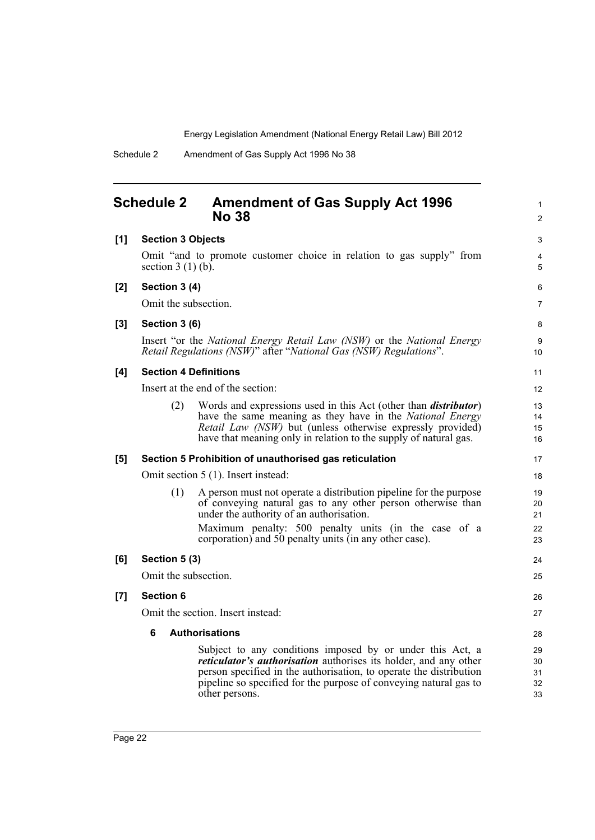1

## **Schedule 2 Amendment of Gas Supply Act 1996 No 38**

<span id="page-31-0"></span>

|       |                                                                                             | NO 38                                                                                                                                                                                                                                                                                             | 2                          |  |  |  |  |
|-------|---------------------------------------------------------------------------------------------|---------------------------------------------------------------------------------------------------------------------------------------------------------------------------------------------------------------------------------------------------------------------------------------------------|----------------------------|--|--|--|--|
| [1]   | <b>Section 3 Objects</b>                                                                    |                                                                                                                                                                                                                                                                                                   | 3                          |  |  |  |  |
|       | Omit "and to promote customer choice in relation to gas supply" from<br>section $3(1)(b)$ . |                                                                                                                                                                                                                                                                                                   |                            |  |  |  |  |
| [2]   | Section 3 (4)                                                                               |                                                                                                                                                                                                                                                                                                   | 6                          |  |  |  |  |
|       | Omit the subsection.                                                                        |                                                                                                                                                                                                                                                                                                   | 7                          |  |  |  |  |
| $[3]$ | Section 3 (6)                                                                               |                                                                                                                                                                                                                                                                                                   | 8                          |  |  |  |  |
|       |                                                                                             | Insert "or the National Energy Retail Law (NSW) or the National Energy<br>Retail Regulations (NSW)" after "National Gas (NSW) Regulations".                                                                                                                                                       | 9<br>10                    |  |  |  |  |
| [4]   |                                                                                             | <b>Section 4 Definitions</b>                                                                                                                                                                                                                                                                      | 11                         |  |  |  |  |
|       |                                                                                             | Insert at the end of the section:                                                                                                                                                                                                                                                                 | 12                         |  |  |  |  |
|       | (2)                                                                                         | Words and expressions used in this Act (other than <i>distributor</i> )<br>have the same meaning as they have in the National Energy<br>Retail Law (NSW) but (unless otherwise expressly provided)<br>have that meaning only in relation to the supply of natural gas.                            | 13<br>14<br>15<br>16       |  |  |  |  |
| [5]   |                                                                                             | Section 5 Prohibition of unauthorised gas reticulation                                                                                                                                                                                                                                            | 17                         |  |  |  |  |
|       |                                                                                             | Omit section 5 (1). Insert instead:                                                                                                                                                                                                                                                               | 18                         |  |  |  |  |
|       | (1)                                                                                         | A person must not operate a distribution pipeline for the purpose<br>of conveying natural gas to any other person otherwise than<br>under the authority of an authorisation.<br>Maximum penalty: 500 penalty units (in the case of a<br>corporation) and 50 penalty units (in any other case).    | 19<br>20<br>21<br>22<br>23 |  |  |  |  |
| [6]   | Section 5 (3)                                                                               |                                                                                                                                                                                                                                                                                                   | 24                         |  |  |  |  |
|       | Omit the subsection.                                                                        |                                                                                                                                                                                                                                                                                                   | 25                         |  |  |  |  |
| [7]   | <b>Section 6</b>                                                                            |                                                                                                                                                                                                                                                                                                   | 26                         |  |  |  |  |
|       |                                                                                             | Omit the section. Insert instead:                                                                                                                                                                                                                                                                 | 27                         |  |  |  |  |
|       | 6                                                                                           | <b>Authorisations</b>                                                                                                                                                                                                                                                                             | 28                         |  |  |  |  |
|       |                                                                                             | Subject to any conditions imposed by or under this Act, a<br><i>reticulator's authorisation</i> authorises its holder, and any other<br>person specified in the authorisation, to operate the distribution<br>pipeline so specified for the purpose of conveying natural gas to<br>other persons. | 29<br>30<br>31<br>32<br>33 |  |  |  |  |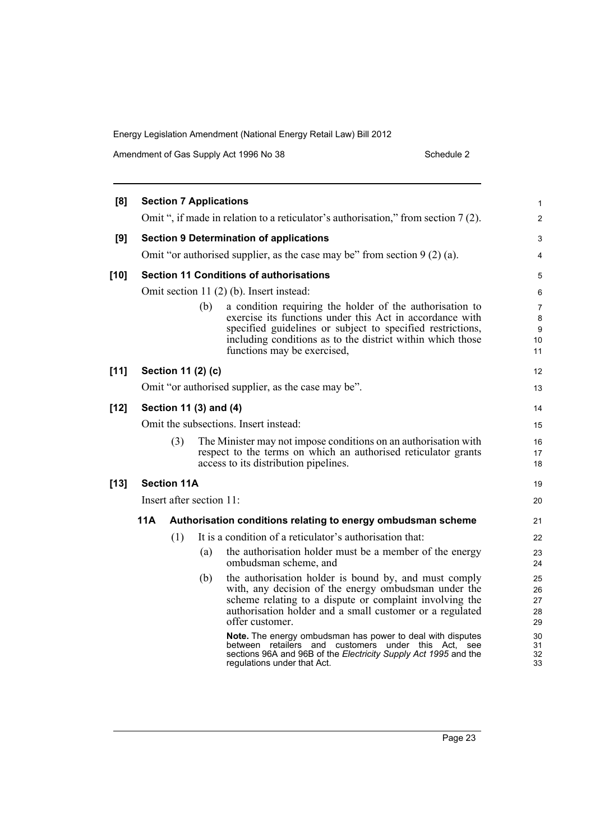| Amendment of Gas Supply Act 1996 No 38 | Schedule 2 |
|----------------------------------------|------------|
|----------------------------------------|------------|

| [8]    |                                       |                    |                          | <b>Section 7 Applications</b>                                                                                                                                                                                                                                                   | 1                          |
|--------|---------------------------------------|--------------------|--------------------------|---------------------------------------------------------------------------------------------------------------------------------------------------------------------------------------------------------------------------------------------------------------------------------|----------------------------|
|        |                                       |                    |                          | Omit ", if made in relation to a reticulator's authorisation," from section 7 (2).                                                                                                                                                                                              | $\overline{c}$             |
| [9]    |                                       |                    |                          | <b>Section 9 Determination of applications</b>                                                                                                                                                                                                                                  | 3                          |
|        |                                       |                    |                          | Omit "or authorised supplier, as the case may be" from section $9(2)(a)$ .                                                                                                                                                                                                      | 4                          |
| $[10]$ |                                       |                    |                          | <b>Section 11 Conditions of authorisations</b>                                                                                                                                                                                                                                  | 5                          |
|        |                                       |                    |                          | Omit section 11 (2) (b). Insert instead:                                                                                                                                                                                                                                        | 6                          |
|        |                                       |                    | (b)                      | a condition requiring the holder of the authorisation to<br>exercise its functions under this Act in accordance with<br>specified guidelines or subject to specified restrictions,<br>including conditions as to the district within which those<br>functions may be exercised, | 7<br>8<br>9<br>10<br>11    |
| $[11]$ |                                       |                    | Section 11 (2) (c)       |                                                                                                                                                                                                                                                                                 | 12                         |
|        |                                       |                    |                          | Omit "or authorised supplier, as the case may be".                                                                                                                                                                                                                              | 13                         |
| $[12]$ | Section 11 (3) and (4)                |                    |                          |                                                                                                                                                                                                                                                                                 |                            |
|        | Omit the subsections. Insert instead: |                    |                          |                                                                                                                                                                                                                                                                                 |                            |
|        |                                       | (3)                |                          | The Minister may not impose conditions on an authorization with<br>respect to the terms on which an authorised reticulator grants<br>access to its distribution pipelines.                                                                                                      | 16<br>17<br>18             |
| $[13]$ |                                       | <b>Section 11A</b> |                          |                                                                                                                                                                                                                                                                                 | 19                         |
|        |                                       |                    | Insert after section 11: |                                                                                                                                                                                                                                                                                 | 20                         |
|        | 11A                                   |                    |                          | Authorisation conditions relating to energy ombudsman scheme                                                                                                                                                                                                                    | 21                         |
|        |                                       | (1)                |                          | It is a condition of a reticulator's authorization that:                                                                                                                                                                                                                        | 22                         |
|        |                                       |                    | (a)                      | the authorisation holder must be a member of the energy<br>ombudsman scheme, and                                                                                                                                                                                                | 23<br>24                   |
|        |                                       |                    | (b)                      | the authorisation holder is bound by, and must comply<br>with, any decision of the energy ombudsman under the<br>scheme relating to a dispute or complaint involving the<br>authorisation holder and a small customer or a regulated<br>offer customer.                         | 25<br>26<br>27<br>28<br>29 |
|        |                                       |                    |                          | Note. The energy ombudsman has power to deal with disputes<br>between retailers and customers under this Act, see<br>sections 96A and 96B of the Electricity Supply Act 1995 and the<br>regulations under that Act.                                                             | 30<br>31<br>32<br>33       |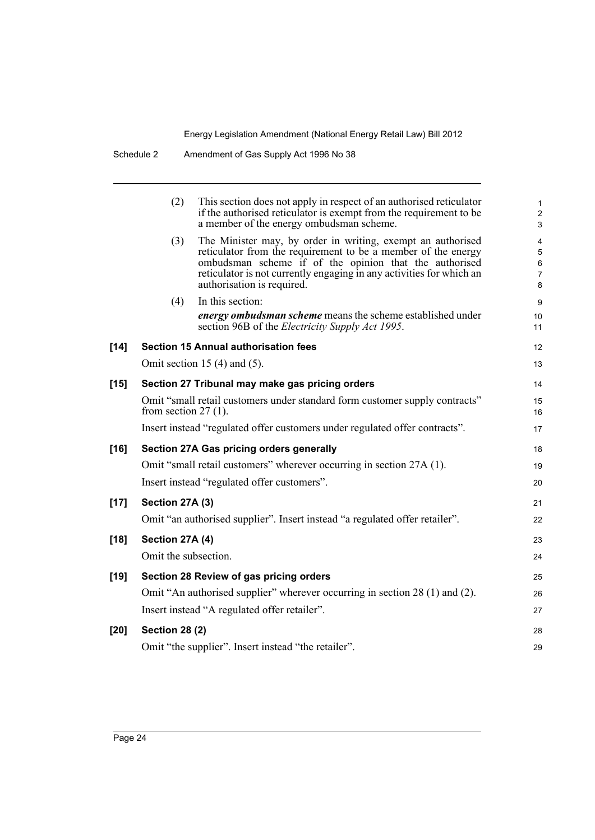|        | (2)                    | This section does not apply in respect of an authorised reticulator<br>if the authorised reticulator is exempt from the requirement to be<br>a member of the energy ombudsman scheme.                                                                                                        | $\mathbf{1}$<br>$\overline{2}$<br>3            |
|--------|------------------------|----------------------------------------------------------------------------------------------------------------------------------------------------------------------------------------------------------------------------------------------------------------------------------------------|------------------------------------------------|
|        | (3)                    | The Minister may, by order in writing, exempt an authorised<br>reticulator from the requirement to be a member of the energy<br>ombudsman scheme if of the opinion that the authorised<br>reticulator is not currently engaging in any activities for which an<br>authorisation is required. | 4<br>5<br>$\,6\,$<br>$\overline{7}$<br>$\bf 8$ |
|        | (4)                    | In this section:                                                                                                                                                                                                                                                                             | 9                                              |
|        |                        | energy ombudsman scheme means the scheme established under<br>section 96B of the <i>Electricity Supply Act 1995</i> .                                                                                                                                                                        | 10 <sup>°</sup><br>11                          |
| $[14]$ |                        | <b>Section 15 Annual authorisation fees</b>                                                                                                                                                                                                                                                  | 12                                             |
|        |                        | Omit section 15 $(4)$ and $(5)$ .                                                                                                                                                                                                                                                            | 13                                             |
| $[15]$ |                        | Section 27 Tribunal may make gas pricing orders                                                                                                                                                                                                                                              | 14                                             |
|        | from section $27(1)$ . | Omit "small retail customers under standard form customer supply contracts"                                                                                                                                                                                                                  | 15<br>16                                       |
|        |                        | Insert instead "regulated offer customers under regulated offer contracts".                                                                                                                                                                                                                  | 17                                             |
| $[16]$ |                        | Section 27A Gas pricing orders generally                                                                                                                                                                                                                                                     | 18                                             |
|        |                        | Omit "small retail customers" wherever occurring in section 27A (1).                                                                                                                                                                                                                         | 19                                             |
|        |                        | Insert instead "regulated offer customers".                                                                                                                                                                                                                                                  | 20                                             |
| $[17]$ | Section 27A (3)        |                                                                                                                                                                                                                                                                                              | 21                                             |
|        |                        | Omit "an authorised supplier". Insert instead "a regulated offer retailer".                                                                                                                                                                                                                  | 22                                             |
| $[18]$ | Section 27A (4)        |                                                                                                                                                                                                                                                                                              | 23                                             |
|        | Omit the subsection.   |                                                                                                                                                                                                                                                                                              | 24                                             |
| $[19]$ |                        | Section 28 Review of gas pricing orders                                                                                                                                                                                                                                                      | 25                                             |
|        |                        | Omit "An authorised supplier" wherever occurring in section 28 (1) and (2).                                                                                                                                                                                                                  | 26                                             |
|        |                        | Insert instead "A regulated offer retailer".                                                                                                                                                                                                                                                 | 27                                             |
| $[20]$ | <b>Section 28 (2)</b>  |                                                                                                                                                                                                                                                                                              | 28                                             |
|        |                        | Omit "the supplier". Insert instead "the retailer".                                                                                                                                                                                                                                          | 29                                             |
|        |                        |                                                                                                                                                                                                                                                                                              |                                                |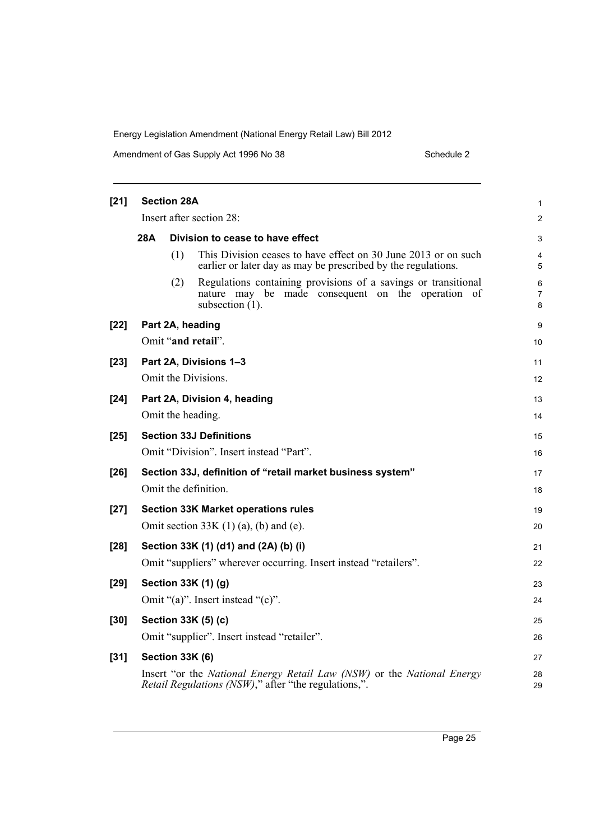Amendment of Gas Supply Act 1996 No 38 Schedule 2 Schedule 2

| $[21]$ | <b>Section 28A</b>                             |                        |                                                                                                                                           |                |  |
|--------|------------------------------------------------|------------------------|-------------------------------------------------------------------------------------------------------------------------------------------|----------------|--|
|        |                                                |                        | Insert after section 28:                                                                                                                  | $\overline{2}$ |  |
|        | <b>28A</b><br>Division to cease to have effect |                        |                                                                                                                                           |                |  |
|        |                                                | (1)                    | This Division ceases to have effect on 30 June 2013 or on such<br>earlier or later day as may be prescribed by the regulations.           | 4<br>5         |  |
|        |                                                | (2)                    | Regulations containing provisions of a savings or transitional<br>nature may be made consequent on the operation of<br>subsection $(1)$ . | 6<br>7<br>8    |  |
| $[22]$ |                                                |                        | Part 2A, heading                                                                                                                          | 9              |  |
|        |                                                |                        | Omit "and retail".                                                                                                                        | 10             |  |
| $[23]$ |                                                |                        | Part 2A, Divisions 1-3                                                                                                                    | 11             |  |
|        |                                                |                        | Omit the Divisions.                                                                                                                       | 12             |  |
| $[24]$ |                                                |                        | Part 2A, Division 4, heading                                                                                                              | 13             |  |
|        |                                                |                        | Omit the heading.                                                                                                                         | 14             |  |
| $[25]$ |                                                |                        | <b>Section 33J Definitions</b>                                                                                                            | 15             |  |
|        |                                                |                        | Omit "Division". Insert instead "Part".                                                                                                   | 16             |  |
| $[26]$ |                                                |                        | Section 33J, definition of "retail market business system"                                                                                | 17             |  |
|        |                                                |                        | Omit the definition.                                                                                                                      | 18             |  |
| $[27]$ |                                                |                        | <b>Section 33K Market operations rules</b>                                                                                                | 19             |  |
|        |                                                |                        | Omit section $33K(1)(a)$ , (b) and (e).                                                                                                   | 20             |  |
| $[28]$ |                                                |                        | Section 33K (1) (d1) and (2A) (b) (i)                                                                                                     | 21             |  |
|        |                                                |                        | Omit "suppliers" wherever occurring. Insert instead "retailers".                                                                          | 22             |  |
| $[29]$ |                                                |                        | Section 33K (1) (g)                                                                                                                       | 23             |  |
|        |                                                |                        | Omit "(a)". Insert instead "(c)".                                                                                                         | 24             |  |
| $[30]$ |                                                |                        | Section 33K (5) (c)                                                                                                                       | 25             |  |
|        |                                                |                        | Omit "supplier". Insert instead "retailer".                                                                                               | 26             |  |
| $[31]$ |                                                | <b>Section 33K (6)</b> |                                                                                                                                           | 27             |  |
|        |                                                |                        | Insert "or the National Energy Retail Law (NSW) or the National Energy<br><i>Retail Regulations (NSW)</i> ," after "the regulations,".    | 28<br>29       |  |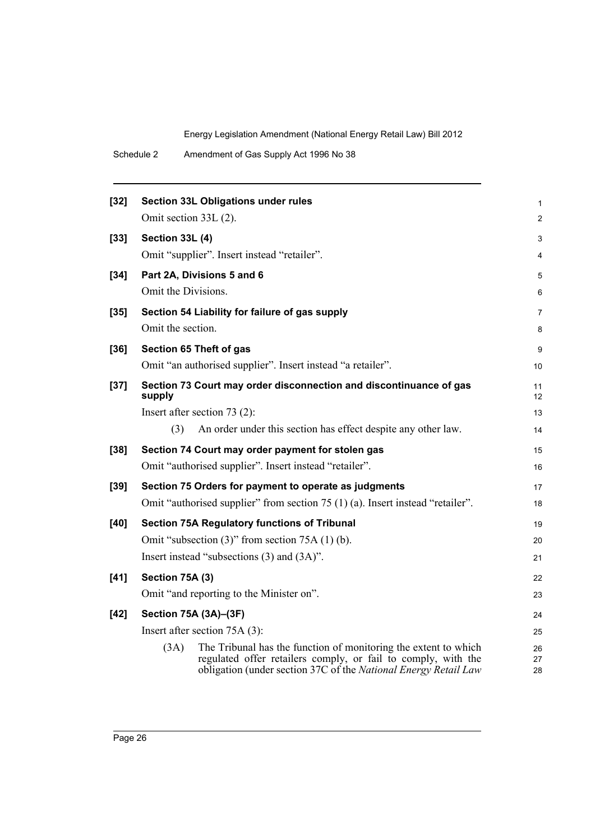| $[32]$ |                        | Section 33L Obligations under rules                                                                                                                                                                 | 1              |
|--------|------------------------|-----------------------------------------------------------------------------------------------------------------------------------------------------------------------------------------------------|----------------|
|        | Omit section 33L (2).  |                                                                                                                                                                                                     | 2              |
| $[33]$ | <b>Section 33L (4)</b> |                                                                                                                                                                                                     | 3              |
|        |                        | Omit "supplier". Insert instead "retailer".                                                                                                                                                         | 4              |
| $[34]$ |                        | Part 2A, Divisions 5 and 6                                                                                                                                                                          | 5              |
|        | Omit the Divisions.    |                                                                                                                                                                                                     | 6              |
| $[35]$ |                        | Section 54 Liability for failure of gas supply                                                                                                                                                      | 7              |
|        | Omit the section.      |                                                                                                                                                                                                     | 8              |
| $[36]$ |                        | Section 65 Theft of gas                                                                                                                                                                             | 9              |
|        |                        | Omit "an authorised supplier". Insert instead "a retailer".                                                                                                                                         | 10             |
| $[37]$ | supply                 | Section 73 Court may order disconnection and discontinuance of gas                                                                                                                                  | 11<br>12       |
|        |                        | Insert after section $73(2)$ :                                                                                                                                                                      | 13             |
|        | (3)                    | An order under this section has effect despite any other law.                                                                                                                                       | 14             |
| $[38]$ |                        | Section 74 Court may order payment for stolen gas                                                                                                                                                   | 15             |
|        |                        | Omit "authorised supplier". Insert instead "retailer".                                                                                                                                              | 16             |
| $[39]$ |                        | Section 75 Orders for payment to operate as judgments                                                                                                                                               | 17             |
|        |                        | Omit "authorised supplier" from section 75 (1) (a). Insert instead "retailer".                                                                                                                      | 18             |
| [40]   |                        | Section 75A Regulatory functions of Tribunal                                                                                                                                                        | 19             |
|        |                        | Omit "subsection $(3)$ " from section 75A $(1)$ (b).                                                                                                                                                | 20             |
|        |                        | Insert instead "subsections $(3)$ and $(3A)$ ".                                                                                                                                                     | 21             |
| $[41]$ | Section 75A (3)        |                                                                                                                                                                                                     | 22             |
|        |                        | Omit "and reporting to the Minister on".                                                                                                                                                            | 23             |
| $[42]$ |                        | Section 75A (3A)-(3F)                                                                                                                                                                               | 24             |
|        |                        | Insert after section 75A (3):                                                                                                                                                                       | 25             |
|        | (3A)                   | The Tribunal has the function of monitoring the extent to which<br>regulated offer retailers comply, or fail to comply, with the<br>obligation (under section 37C of the National Energy Retail Law | 26<br>27<br>28 |
|        |                        |                                                                                                                                                                                                     |                |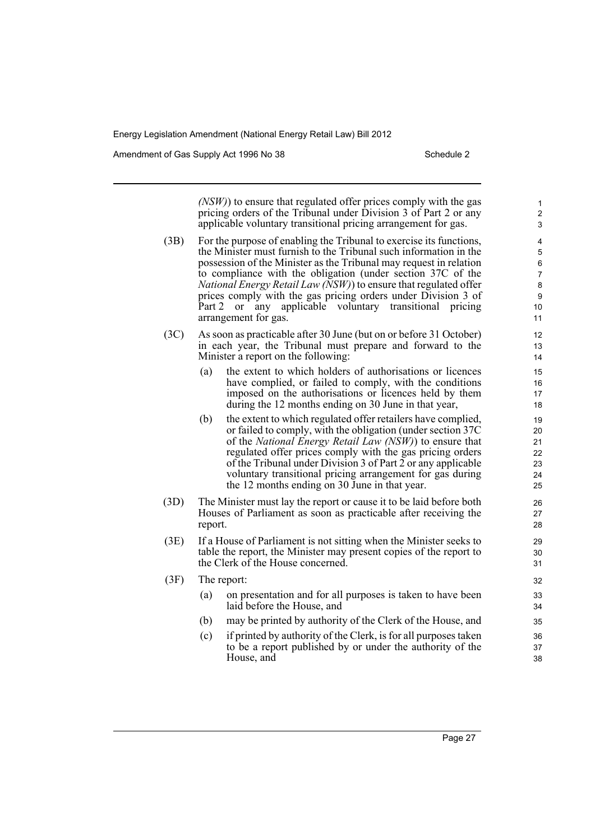Amendment of Gas Supply Act 1996 No 38 Schedule 2 Schedule 2

*(NSW)*) to ensure that regulated offer prices comply with the gas pricing orders of the Tribunal under Division 3 of Part 2 or any applicable voluntary transitional pricing arrangement for gas. (3B) For the purpose of enabling the Tribunal to exercise its functions, the Minister must furnish to the Tribunal such information in the possession of the Minister as the Tribunal may request in relation to compliance with the obligation (under section 37C of the *National Energy Retail Law (NSW)*) to ensure that regulated offer prices comply with the gas pricing orders under Division 3 of Part 2 or any applicable voluntary transitional pricing arrangement for gas. (3C) As soon as practicable after 30 June (but on or before 31 October) in each year, the Tribunal must prepare and forward to the Minister a report on the following: (a) the extent to which holders of authorisations or licences have complied, or failed to comply, with the conditions imposed on the authorisations or licences held by them during the 12 months ending on 30 June in that year, (b) the extent to which regulated offer retailers have complied, or failed to comply, with the obligation (under section 37C of the *National Energy Retail Law (NSW)*) to ensure that regulated offer prices comply with the gas pricing orders of the Tribunal under Division 3 of Part 2 or any applicable voluntary transitional pricing arrangement for gas during the 12 months ending on 30 June in that year. (3D) The Minister must lay the report or cause it to be laid before both Houses of Parliament as soon as practicable after receiving the report. (3E) If a House of Parliament is not sitting when the Minister seeks to table the report, the Minister may present copies of the report to the Clerk of the House concerned. (3F) The report: (a) on presentation and for all purposes is taken to have been laid before the House, and (b) may be printed by authority of the Clerk of the House, and (c) if printed by authority of the Clerk, is for all purposes taken to be a report published by or under the authority of the House, and 1 2 3 4 5 6 7 8 9 10 11 12 13 14 15 16 17 18 19 20 21 22 23 24 25 26 27 28 29 30 31 32 33 34 35 36 37 38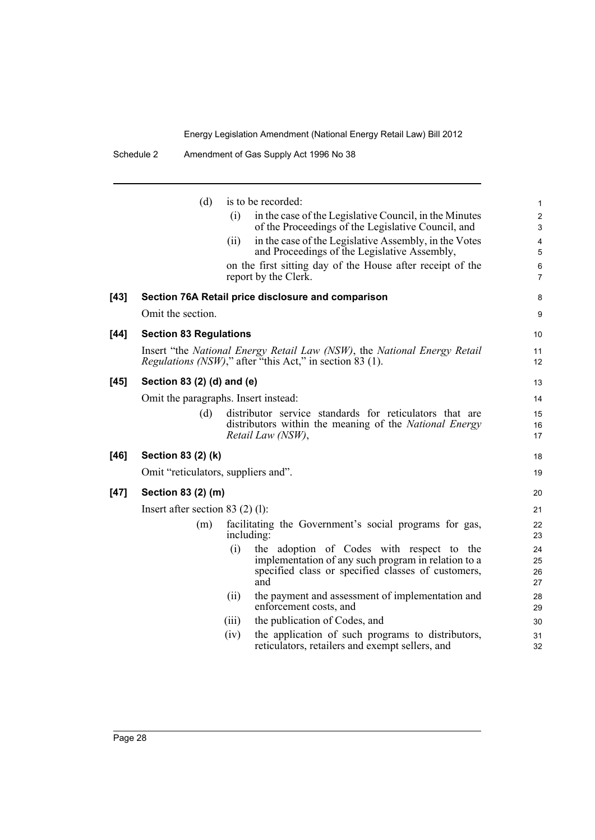|        | (d)                                  | (i)   | is to be recorded:<br>in the case of the Legislative Council, in the Minutes                                                                 | $\mathbf{1}$<br>$\overline{c}$ |
|--------|--------------------------------------|-------|----------------------------------------------------------------------------------------------------------------------------------------------|--------------------------------|
|        |                                      |       | of the Proceedings of the Legislative Council, and                                                                                           | $\mathfrak{S}$                 |
|        |                                      | (ii)  | in the case of the Legislative Assembly, in the Votes                                                                                        | $\overline{4}$                 |
|        |                                      |       | and Proceedings of the Legislative Assembly,                                                                                                 | $\sqrt{5}$                     |
|        |                                      |       | on the first sitting day of the House after receipt of the<br>report by the Clerk.                                                           | $\,6\,$<br>$\overline{7}$      |
| $[43]$ |                                      |       | Section 76A Retail price disclosure and comparison                                                                                           | 8                              |
|        | Omit the section.                    |       |                                                                                                                                              | 9                              |
| $[44]$ | <b>Section 83 Regulations</b>        |       |                                                                                                                                              | 10                             |
|        |                                      |       | Insert "the National Energy Retail Law (NSW), the National Energy Retail<br><i>Regulations (NSW)</i> ," after "this Act," in section 83 (1). | 11<br>12                       |
| $[45]$ | Section 83 (2) (d) and (e)           |       |                                                                                                                                              | 13                             |
|        | Omit the paragraphs. Insert instead: |       |                                                                                                                                              | 14                             |
|        | (d)                                  |       | distributor service standards for reticulators that are                                                                                      | 15                             |
|        |                                      |       | distributors within the meaning of the <i>National Energy</i><br>Retail Law (NSW),                                                           | 16<br>17                       |
| $[46]$ | Section 83 (2) (k)                   |       |                                                                                                                                              | 18                             |
|        | Omit "reticulators, suppliers and".  |       |                                                                                                                                              | 19                             |
| $[47]$ | Section 83 (2) (m)                   |       |                                                                                                                                              | 20                             |
|        | Insert after section 83 $(2)$ (1):   |       |                                                                                                                                              | 21                             |
|        | (m)                                  |       | facilitating the Government's social programs for gas,<br>including:                                                                         | 22<br>23                       |
|        |                                      | (i)   | the adoption of Codes with respect to the                                                                                                    | 24                             |
|        |                                      |       | implementation of any such program in relation to a<br>specified class or specified classes of customers,                                    | 25<br>26                       |
|        |                                      |       | and                                                                                                                                          | 27                             |
|        |                                      | (ii)  | the payment and assessment of implementation and<br>enforcement costs, and                                                                   | 28<br>29                       |
|        |                                      | (iii) | the publication of Codes, and                                                                                                                | 30                             |
|        |                                      | (iv)  | the application of such programs to distributors,<br>reticulators, retailers and exempt sellers, and                                         | 31<br>32                       |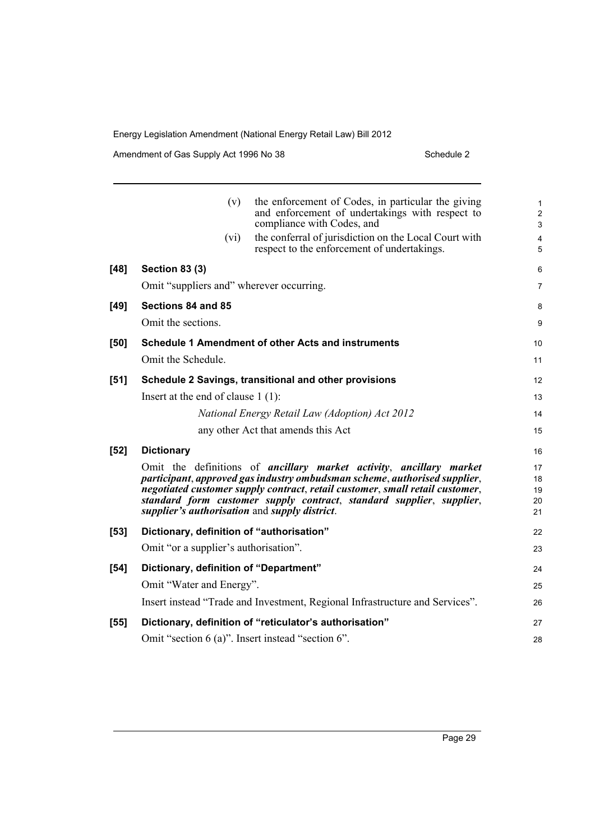Amendment of Gas Supply Act 1996 No 38 Schedule 2 Schedule 2

|        | (v)                                               | the enforcement of Codes, in particular the giving<br>and enforcement of undertakings with respect to<br>compliance with Codes, and                                                                                                                                                                      | 1<br>$\overline{\mathbf{c}}$<br>3 |
|--------|---------------------------------------------------|----------------------------------------------------------------------------------------------------------------------------------------------------------------------------------------------------------------------------------------------------------------------------------------------------------|-----------------------------------|
|        | (vi)                                              | the conferral of jurisdiction on the Local Court with<br>respect to the enforcement of undertakings.                                                                                                                                                                                                     | 4<br>5                            |
| $[48]$ | <b>Section 83 (3)</b>                             |                                                                                                                                                                                                                                                                                                          | 6                                 |
|        | Omit "suppliers and" wherever occurring.          |                                                                                                                                                                                                                                                                                                          | 7                                 |
| $[49]$ | Sections 84 and 85                                |                                                                                                                                                                                                                                                                                                          | 8                                 |
|        | Omit the sections.                                |                                                                                                                                                                                                                                                                                                          | 9                                 |
| [50]   |                                                   | Schedule 1 Amendment of other Acts and instruments                                                                                                                                                                                                                                                       | 10                                |
|        | Omit the Schedule.                                |                                                                                                                                                                                                                                                                                                          | 11                                |
| $[51]$ |                                                   | Schedule 2 Savings, transitional and other provisions                                                                                                                                                                                                                                                    | 12                                |
|        | Insert at the end of clause $1(1)$ :              |                                                                                                                                                                                                                                                                                                          | 13                                |
|        |                                                   | National Energy Retail Law (Adoption) Act 2012                                                                                                                                                                                                                                                           | 14                                |
|        |                                                   | any other Act that amends this Act                                                                                                                                                                                                                                                                       | 15                                |
| $[52]$ | <b>Dictionary</b>                                 |                                                                                                                                                                                                                                                                                                          | 16                                |
|        | supplier's authorisation and supply district.     | Omit the definitions of ancillary market activity, ancillary market<br>participant, approved gas industry ombudsman scheme, authorised supplier,<br>negotiated customer supply contract, retail customer, small retail customer,<br>standard form customer supply contract, standard supplier, supplier, | 17<br>18<br>19<br>20<br>21        |
| $[53]$ | Dictionary, definition of "authorisation"         |                                                                                                                                                                                                                                                                                                          | 22                                |
|        | Omit "or a supplier's authorisation".             |                                                                                                                                                                                                                                                                                                          | 23                                |
| $[54]$ | Dictionary, definition of "Department"            |                                                                                                                                                                                                                                                                                                          | 24                                |
|        | Omit "Water and Energy".                          |                                                                                                                                                                                                                                                                                                          | 25                                |
|        |                                                   | Insert instead "Trade and Investment, Regional Infrastructure and Services".                                                                                                                                                                                                                             | 26                                |
| $[55]$ |                                                   | Dictionary, definition of "reticulator's authorisation"                                                                                                                                                                                                                                                  | 27                                |
|        | Omit "section 6 (a)". Insert instead "section 6". |                                                                                                                                                                                                                                                                                                          | 28                                |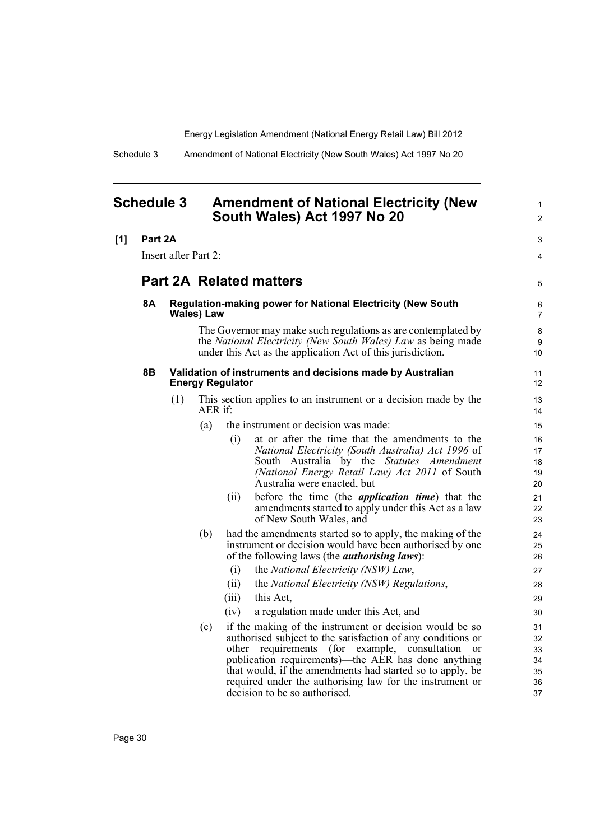1 2

Schedule 3 Amendment of National Electricity (New South Wales) Act 1997 No 20

## <span id="page-39-0"></span>**Schedule 3 Amendment of National Electricity (New South Wales) Act 1997 No 20**

| [1] | Part 2A<br>Insert after Part 2: |     |            | 3                       |                                                                                                                                                                                                                                                                                                                                                                                                        |                                        |
|-----|---------------------------------|-----|------------|-------------------------|--------------------------------------------------------------------------------------------------------------------------------------------------------------------------------------------------------------------------------------------------------------------------------------------------------------------------------------------------------------------------------------------------------|----------------------------------------|
|     |                                 |     |            |                         |                                                                                                                                                                                                                                                                                                                                                                                                        | $\overline{4}$                         |
|     | <b>Part 2A Related matters</b>  |     |            |                         |                                                                                                                                                                                                                                                                                                                                                                                                        | 5                                      |
|     | <b>8A</b>                       |     | Wales) Law |                         | <b>Regulation-making power for National Electricity (New South</b>                                                                                                                                                                                                                                                                                                                                     | 6<br>$\overline{7}$                    |
|     |                                 |     |            |                         | The Governor may make such regulations as are contemplated by<br>the National Electricity (New South Wales) Law as being made<br>under this Act as the application Act of this jurisdiction.                                                                                                                                                                                                           | 8<br>9<br>10                           |
|     | 8Β                              |     |            | <b>Energy Regulator</b> | Validation of instruments and decisions made by Australian                                                                                                                                                                                                                                                                                                                                             | 11<br>12                               |
|     |                                 | (1) | AER if:    |                         | This section applies to an instrument or a decision made by the                                                                                                                                                                                                                                                                                                                                        | 13<br>14                               |
|     |                                 |     | (a)        |                         | the instrument or decision was made:                                                                                                                                                                                                                                                                                                                                                                   | 15                                     |
|     |                                 |     |            | (i)                     | at or after the time that the amendments to the<br>National Electricity (South Australia) Act 1996 of<br>South Australia by the Statutes Amendment<br>(National Energy Retail Law) Act 2011 of South<br>Australia were enacted, but                                                                                                                                                                    | 16<br>17<br>18<br>19<br>20             |
|     |                                 |     |            | (ii)                    | before the time (the <i>application time</i> ) that the<br>amendments started to apply under this Act as a law<br>of New South Wales, and                                                                                                                                                                                                                                                              | 21<br>22<br>23                         |
|     |                                 |     | (b)        | (i)                     | had the amendments started so to apply, the making of the<br>instrument or decision would have been authorised by one<br>of the following laws (the <i>authorising laws</i> ):<br>the National Electricity (NSW) Law,                                                                                                                                                                                  | 24<br>25<br>26<br>27                   |
|     |                                 |     |            | (ii)                    | the National Electricity (NSW) Regulations,                                                                                                                                                                                                                                                                                                                                                            | 28                                     |
|     |                                 |     |            | (iii)                   | this Act,                                                                                                                                                                                                                                                                                                                                                                                              | 29                                     |
|     |                                 |     |            | (iv)                    | a regulation made under this Act, and                                                                                                                                                                                                                                                                                                                                                                  | 30                                     |
|     |                                 |     | (c)        | other                   | if the making of the instrument or decision would be so<br>authorised subject to the satisfaction of any conditions or<br>requirements<br>(for example, consultation<br><sub>or</sub><br>publication requirements)—the AER has done anything<br>that would, if the amendments had started so to apply, be<br>required under the authorising law for the instrument or<br>decision to be so authorised. | 31<br>32<br>33<br>34<br>35<br>36<br>37 |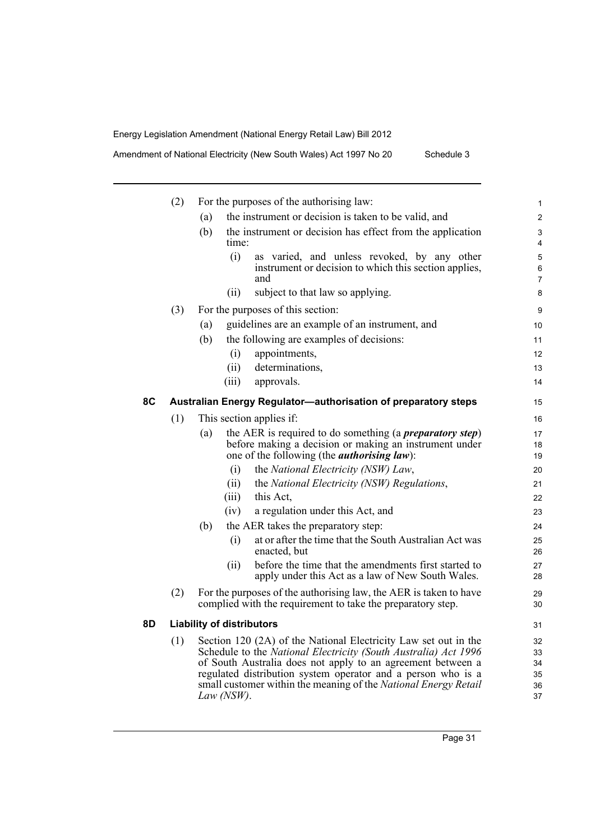Amendment of National Electricity (New South Wales) Act 1997 No 20 Schedule 3

|     | (2) | For the purposes of the authorising law:                                                                                                     |       |                                                                                                                                                                                                                                                                                                                                      |                                  |  |
|-----|-----|----------------------------------------------------------------------------------------------------------------------------------------------|-------|--------------------------------------------------------------------------------------------------------------------------------------------------------------------------------------------------------------------------------------------------------------------------------------------------------------------------------------|----------------------------------|--|
|     |     | the instrument or decision is taken to be valid, and<br>(a)                                                                                  |       |                                                                                                                                                                                                                                                                                                                                      |                                  |  |
|     |     | (b)                                                                                                                                          | time: | the instrument or decision has effect from the application                                                                                                                                                                                                                                                                           | 3<br>4                           |  |
|     |     |                                                                                                                                              | (i)   | as varied, and unless revoked, by any other<br>instrument or decision to which this section applies,<br>and                                                                                                                                                                                                                          | 5<br>6<br>7                      |  |
|     |     |                                                                                                                                              | (ii)  | subject to that law so applying.                                                                                                                                                                                                                                                                                                     | 8                                |  |
|     | (3) |                                                                                                                                              |       | For the purposes of this section:                                                                                                                                                                                                                                                                                                    | 9                                |  |
|     |     | (a)                                                                                                                                          |       | guidelines are an example of an instrument, and                                                                                                                                                                                                                                                                                      | 10                               |  |
|     |     | (b)                                                                                                                                          |       | the following are examples of decisions:                                                                                                                                                                                                                                                                                             | 11                               |  |
|     |     |                                                                                                                                              | (i)   | appointments,                                                                                                                                                                                                                                                                                                                        | 12                               |  |
|     |     |                                                                                                                                              | (ii)  | determinations,                                                                                                                                                                                                                                                                                                                      | 13                               |  |
|     |     |                                                                                                                                              | (iii) | approvals.                                                                                                                                                                                                                                                                                                                           | 14                               |  |
| 8C  |     |                                                                                                                                              |       | Australian Energy Regulator-authorisation of preparatory steps                                                                                                                                                                                                                                                                       | 15                               |  |
|     | (1) |                                                                                                                                              |       | This section applies if:                                                                                                                                                                                                                                                                                                             | 16                               |  |
|     |     | (a)                                                                                                                                          |       | the AER is required to do something (a <i>preparatory step</i> )<br>before making a decision or making an instrument under<br>one of the following (the <i>authorising law</i> ):                                                                                                                                                    | 17<br>18<br>19                   |  |
|     |     |                                                                                                                                              | (i)   | the National Electricity (NSW) Law,                                                                                                                                                                                                                                                                                                  | 20                               |  |
|     |     |                                                                                                                                              | (ii)  | the National Electricity (NSW) Regulations,                                                                                                                                                                                                                                                                                          | 21                               |  |
|     |     |                                                                                                                                              | (iii) | this Act.                                                                                                                                                                                                                                                                                                                            | 22                               |  |
|     |     |                                                                                                                                              | (iv)  | a regulation under this Act, and                                                                                                                                                                                                                                                                                                     | 23                               |  |
|     |     | (b)                                                                                                                                          |       | the AER takes the preparatory step:                                                                                                                                                                                                                                                                                                  | 24                               |  |
|     |     |                                                                                                                                              | (i)   | at or after the time that the South Australian Act was<br>enacted, but                                                                                                                                                                                                                                                               | 25<br>26                         |  |
|     |     |                                                                                                                                              | (ii)  | before the time that the amendments first started to<br>apply under this Act as a law of New South Wales.                                                                                                                                                                                                                            | 27<br>28                         |  |
|     | (2) | For the purposes of the authorising law, the AER is taken to have<br>29<br>complied with the requirement to take the preparatory step.<br>30 |       |                                                                                                                                                                                                                                                                                                                                      |                                  |  |
| 8D. |     | <b>Liability of distributors</b>                                                                                                             |       |                                                                                                                                                                                                                                                                                                                                      | 31                               |  |
|     | (1) | Law $(NSW)$ .                                                                                                                                |       | Section 120 (2A) of the National Electricity Law set out in the<br>Schedule to the National Electricity (South Australia) Act 1996<br>of South Australia does not apply to an agreement between a<br>regulated distribution system operator and a person who is a<br>small customer within the meaning of the National Energy Retail | 32<br>33<br>34<br>35<br>36<br>37 |  |
|     |     |                                                                                                                                              |       |                                                                                                                                                                                                                                                                                                                                      |                                  |  |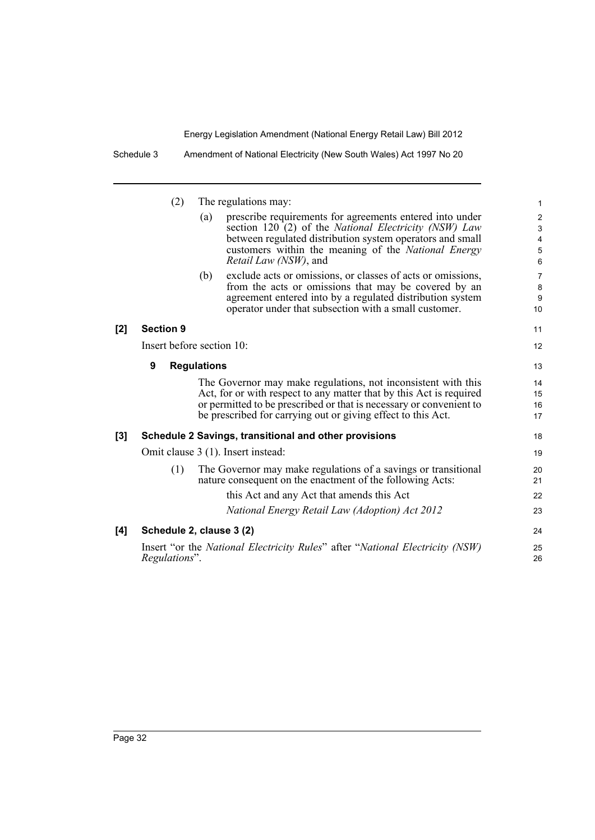|     | (2)                       | The regulations may: |                                                                                                                                                                                                                                                                             |                                                                                              |  |
|-----|---------------------------|----------------------|-----------------------------------------------------------------------------------------------------------------------------------------------------------------------------------------------------------------------------------------------------------------------------|----------------------------------------------------------------------------------------------|--|
|     |                           | (a)                  | prescribe requirements for agreements entered into under<br>section 120 (2) of the National Electricity (NSW) Law<br>between regulated distribution system operators and small<br>customers within the meaning of the <i>National Energy</i><br>Retail Law (NSW), and       | $\boldsymbol{2}$<br>$\ensuremath{\mathsf{3}}$<br>$\overline{\mathbf{4}}$<br>$\mathbf 5$<br>6 |  |
|     |                           | (b)                  | exclude acts or omissions, or classes of acts or omissions,<br>from the acts or omissions that may be covered by an<br>agreement entered into by a regulated distribution system<br>operator under that subsection with a small customer.                                   | $\overline{7}$<br>8<br>$\boldsymbol{9}$<br>10                                                |  |
| [2] | <b>Section 9</b>          |                      |                                                                                                                                                                                                                                                                             | 11                                                                                           |  |
|     | Insert before section 10: |                      |                                                                                                                                                                                                                                                                             |                                                                                              |  |
|     | 9                         | <b>Regulations</b>   |                                                                                                                                                                                                                                                                             | 13                                                                                           |  |
|     |                           |                      | The Governor may make regulations, not inconsistent with this<br>Act, for or with respect to any matter that by this Act is required<br>or permitted to be prescribed or that is necessary or convenient to<br>be prescribed for carrying out or giving effect to this Act. | 14<br>15<br>16<br>17                                                                         |  |
| [3] |                           |                      | Schedule 2 Savings, transitional and other provisions                                                                                                                                                                                                                       | 18                                                                                           |  |
|     |                           |                      | Omit clause 3 (1). Insert instead:                                                                                                                                                                                                                                          | 19                                                                                           |  |
|     | (1)                       |                      | The Governor may make regulations of a savings or transitional<br>nature consequent on the enactment of the following Acts:                                                                                                                                                 | 20<br>21                                                                                     |  |
|     |                           |                      | this Act and any Act that amends this Act                                                                                                                                                                                                                                   | 22                                                                                           |  |
|     |                           |                      | National Energy Retail Law (Adoption) Act 2012                                                                                                                                                                                                                              | 23                                                                                           |  |
| [4] | Schedule 2, clause 3 (2)  |                      |                                                                                                                                                                                                                                                                             | 24                                                                                           |  |
|     | Regulations".             |                      | Insert "or the National Electricity Rules" after "National Electricity (NSW)                                                                                                                                                                                                | 25<br>26                                                                                     |  |

Schedule 3 Amendment of National Electricity (New South Wales) Act 1997 No 20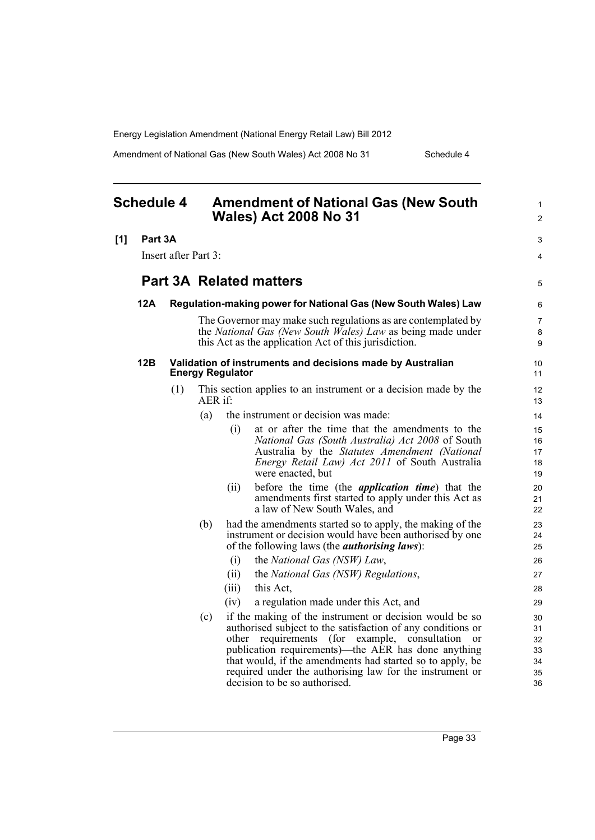Amendment of National Gas (New South Wales) Act 2008 No 31 Schedule 4

<span id="page-42-0"></span>

| <b>Schedule 4</b>              |         | <b>Amendment of National Gas (New South</b><br><b>Wales) Act 2008 No 31</b> |                                                                |                         |                                                                                                                                                                                                                                                                                                                                                                          |                                  |
|--------------------------------|---------|-----------------------------------------------------------------------------|----------------------------------------------------------------|-------------------------|--------------------------------------------------------------------------------------------------------------------------------------------------------------------------------------------------------------------------------------------------------------------------------------------------------------------------------------------------------------------------|----------------------------------|
| [1]                            | Part 3A |                                                                             |                                                                |                         |                                                                                                                                                                                                                                                                                                                                                                          | 3                                |
|                                |         | Insert after Part 3:                                                        |                                                                |                         |                                                                                                                                                                                                                                                                                                                                                                          | 4                                |
| <b>Part 3A Related matters</b> |         |                                                                             |                                                                | 5                       |                                                                                                                                                                                                                                                                                                                                                                          |                                  |
|                                | 12A     |                                                                             | Regulation-making power for National Gas (New South Wales) Law |                         |                                                                                                                                                                                                                                                                                                                                                                          |                                  |
|                                |         |                                                                             |                                                                |                         | The Governor may make such regulations as are contemplated by<br>the National Gas (New South Wales) Law as being made under<br>this Act as the application Act of this jurisdiction.                                                                                                                                                                                     | $\overline{7}$<br>8<br>9         |
|                                | 12B     |                                                                             |                                                                | <b>Energy Regulator</b> | Validation of instruments and decisions made by Australian                                                                                                                                                                                                                                                                                                               | 10<br>11                         |
|                                |         | (1)                                                                         | AER if:                                                        |                         | This section applies to an instrument or a decision made by the                                                                                                                                                                                                                                                                                                          | 12 <sup>2</sup><br>13            |
|                                |         |                                                                             | (a)                                                            |                         | the instrument or decision was made:                                                                                                                                                                                                                                                                                                                                     | 14                               |
|                                |         |                                                                             |                                                                | (i)                     | at or after the time that the amendments to the<br>National Gas (South Australia) Act 2008 of South<br>Australia by the Statutes Amendment (National<br>Energy Retail Law) Act 2011 of South Australia<br>were enacted, but                                                                                                                                              | 15<br>16<br>17<br>18<br>19       |
|                                |         |                                                                             |                                                                | (ii)                    | before the time (the <i>application time</i> ) that the<br>amendments first started to apply under this Act as<br>a law of New South Wales, and                                                                                                                                                                                                                          | 20<br>21<br>22                   |
|                                |         |                                                                             | (b)                                                            |                         | had the amendments started so to apply, the making of the<br>instrument or decision would have been authorised by one<br>of the following laws (the <i>authorising laws</i> ):                                                                                                                                                                                           | 23<br>24<br>25                   |
|                                |         |                                                                             |                                                                | (i)                     | the National Gas (NSW) Law,                                                                                                                                                                                                                                                                                                                                              | 26                               |
|                                |         |                                                                             |                                                                | (ii)                    | the National Gas (NSW) Regulations,                                                                                                                                                                                                                                                                                                                                      | 27                               |
|                                |         |                                                                             |                                                                | (iii)                   | this Act.                                                                                                                                                                                                                                                                                                                                                                | 28                               |
|                                |         |                                                                             |                                                                | (iv)                    | a regulation made under this Act, and                                                                                                                                                                                                                                                                                                                                    | 29                               |
|                                |         |                                                                             | (c)                                                            |                         | if the making of the instrument or decision would be so<br>authorised subject to the satisfaction of any conditions or<br>other requirements (for example, consultation<br><sub>or</sub><br>publication requirements)—the AER has done anything<br>that would, if the amendments had started so to apply, be<br>required under the authorising law for the instrument or | 30<br>31<br>32<br>33<br>34<br>35 |

decision to be so authorised.

36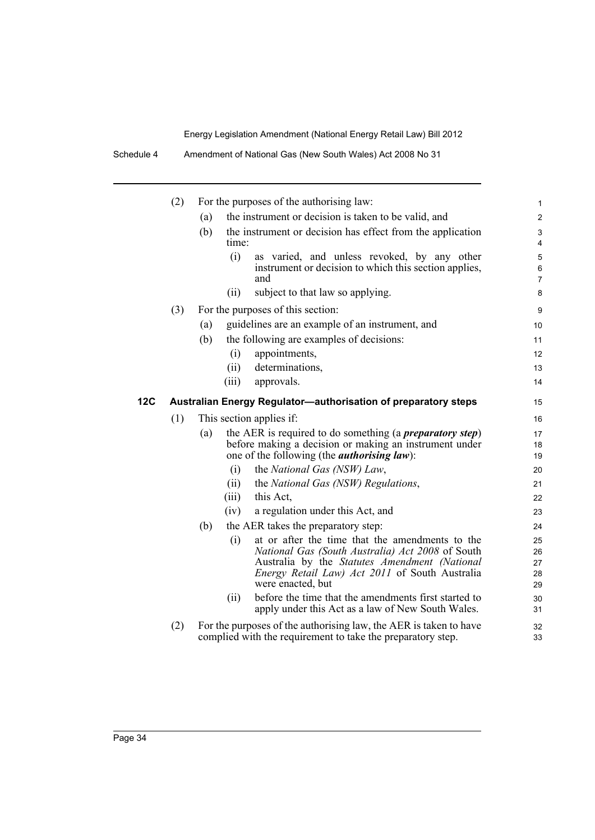Schedule 4 Amendment of National Gas (New South Wales) Act 2008 No 31

|            | (2) | For the purposes of the authorising law:                                                                                                                                                 | 1                                                                                                                                                                                                                                           |  |  |
|------------|-----|------------------------------------------------------------------------------------------------------------------------------------------------------------------------------------------|---------------------------------------------------------------------------------------------------------------------------------------------------------------------------------------------------------------------------------------------|--|--|
|            |     | the instrument or decision is taken to be valid, and<br>(a)                                                                                                                              |                                                                                                                                                                                                                                             |  |  |
|            |     | the instrument or decision has effect from the application<br>(b)<br>time:                                                                                                               | 3<br>4                                                                                                                                                                                                                                      |  |  |
|            |     | (i)<br>and                                                                                                                                                                               | as varied, and unless revoked, by any other<br>5<br>instrument or decision to which this section applies,<br>6<br>7                                                                                                                         |  |  |
|            |     | subject to that law so applying.<br>(ii)                                                                                                                                                 | 8                                                                                                                                                                                                                                           |  |  |
|            | (3) | For the purposes of this section:                                                                                                                                                        | 9                                                                                                                                                                                                                                           |  |  |
|            |     | guidelines are an example of an instrument, and<br>(a)                                                                                                                                   | 10                                                                                                                                                                                                                                          |  |  |
|            |     | (b)<br>the following are examples of decisions:                                                                                                                                          | 11                                                                                                                                                                                                                                          |  |  |
|            |     | appointments,<br>(i)                                                                                                                                                                     | 12                                                                                                                                                                                                                                          |  |  |
|            |     | determinations,<br>(ii)                                                                                                                                                                  | 13                                                                                                                                                                                                                                          |  |  |
|            |     | (iii)<br>approvals.                                                                                                                                                                      | 14                                                                                                                                                                                                                                          |  |  |
| <b>12C</b> |     | Australian Energy Regulator-authorisation of preparatory steps                                                                                                                           | 15                                                                                                                                                                                                                                          |  |  |
|            | (1) | This section applies if:                                                                                                                                                                 |                                                                                                                                                                                                                                             |  |  |
|            |     | the AER is required to do something (a <i>preparatory step</i> )<br>(a)<br>before making a decision or making an instrument under<br>one of the following (the <i>authorising law</i> ): | 17<br>18<br>19                                                                                                                                                                                                                              |  |  |
|            |     | (i)<br>the National Gas (NSW) Law,                                                                                                                                                       | 20                                                                                                                                                                                                                                          |  |  |
|            |     | the National Gas (NSW) Regulations,<br>(ii)                                                                                                                                              | 21                                                                                                                                                                                                                                          |  |  |
|            |     | this Act,<br>(iii)                                                                                                                                                                       | 22                                                                                                                                                                                                                                          |  |  |
|            |     | a regulation under this Act, and<br>(iv)                                                                                                                                                 | 23                                                                                                                                                                                                                                          |  |  |
|            |     | (b)<br>the AER takes the preparatory step:                                                                                                                                               | 24                                                                                                                                                                                                                                          |  |  |
|            |     | (i)<br>were enacted, but                                                                                                                                                                 | at or after the time that the amendments to the<br>25<br>National Gas (South Australia) Act 2008 of South<br>26<br>Australia by the Statutes Amendment (National<br>27<br><i>Energy Retail Law) Act 2011</i> of South Australia<br>28<br>29 |  |  |
|            |     | (ii)                                                                                                                                                                                     | before the time that the amendments first started to<br>30<br>apply under this Act as a law of New South Wales.<br>31                                                                                                                       |  |  |
|            | (2) | For the purposes of the authorising law, the AER is taken to have<br>complied with the requirement to take the preparatory step.                                                         | 32<br>33                                                                                                                                                                                                                                    |  |  |
|            |     |                                                                                                                                                                                          |                                                                                                                                                                                                                                             |  |  |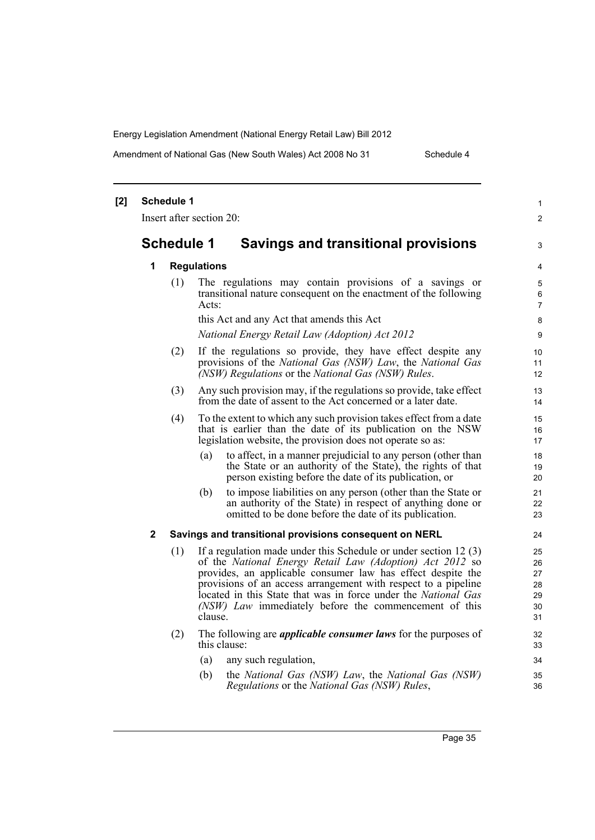Amendment of National Gas (New South Wales) Act 2008 No 31 Schedule 4

| $[2]$ |                                                          | <b>Schedule 1</b>  |                                                                                                                                                                                                                                                                                                                                                                                                      | $\mathbf{1}$                           |  |  |  |
|-------|----------------------------------------------------------|--------------------|------------------------------------------------------------------------------------------------------------------------------------------------------------------------------------------------------------------------------------------------------------------------------------------------------------------------------------------------------------------------------------------------------|----------------------------------------|--|--|--|
|       |                                                          |                    | Insert after section 20:                                                                                                                                                                                                                                                                                                                                                                             | $\overline{2}$                         |  |  |  |
|       | <b>Schedule 1</b><br>Savings and transitional provisions |                    |                                                                                                                                                                                                                                                                                                                                                                                                      |                                        |  |  |  |
|       | 1                                                        | <b>Regulations</b> |                                                                                                                                                                                                                                                                                                                                                                                                      |                                        |  |  |  |
|       |                                                          | (1)                | The regulations may contain provisions of a savings or<br>transitional nature consequent on the enactment of the following<br>Acts:                                                                                                                                                                                                                                                                  | 5<br>6<br>$\overline{7}$               |  |  |  |
|       |                                                          |                    | this Act and any Act that amends this Act                                                                                                                                                                                                                                                                                                                                                            | 8                                      |  |  |  |
|       |                                                          |                    | National Energy Retail Law (Adoption) Act 2012                                                                                                                                                                                                                                                                                                                                                       | 9                                      |  |  |  |
|       |                                                          | (2)                | If the regulations so provide, they have effect despite any<br>provisions of the National Gas (NSW) Law, the National Gas<br>(NSW) Regulations or the National Gas (NSW) Rules.                                                                                                                                                                                                                      | 10<br>11<br>12 <sup>°</sup>            |  |  |  |
|       |                                                          | (3)                | Any such provision may, if the regulations so provide, take effect<br>from the date of assent to the Act concerned or a later date.                                                                                                                                                                                                                                                                  | 13<br>14                               |  |  |  |
|       |                                                          | (4)                | To the extent to which any such provision takes effect from a date<br>that is earlier than the date of its publication on the NSW<br>legislation website, the provision does not operate so as:                                                                                                                                                                                                      | 15<br>16<br>17                         |  |  |  |
|       |                                                          |                    | to affect, in a manner prejudicial to any person (other than<br>(a)<br>the State or an authority of the State), the rights of that<br>person existing before the date of its publication, or                                                                                                                                                                                                         | 18<br>19<br>20                         |  |  |  |
|       |                                                          |                    | (b)<br>to impose liabilities on any person (other than the State or<br>an authority of the State) in respect of anything done or<br>omitted to be done before the date of its publication.                                                                                                                                                                                                           | 21<br>22<br>23                         |  |  |  |
|       | $\mathbf 2$                                              |                    | Savings and transitional provisions consequent on NERL                                                                                                                                                                                                                                                                                                                                               | 24                                     |  |  |  |
|       |                                                          | (1)                | If a regulation made under this Schedule or under section $12(3)$<br>of the National Energy Retail Law (Adoption) Act 2012 so<br>provides, an applicable consumer law has effect despite the<br>provisions of an access arrangement with respect to a pipeline<br>located in this State that was in force under the National Gas<br>(NSW) Law immediately before the commencement of this<br>clause. | 25<br>26<br>27<br>28<br>29<br>30<br>31 |  |  |  |
|       |                                                          | (2)                | The following are <i>applicable consumer laws</i> for the purposes of<br>this clause:                                                                                                                                                                                                                                                                                                                | 32<br>33                               |  |  |  |
|       |                                                          |                    | (a)<br>any such regulation,                                                                                                                                                                                                                                                                                                                                                                          | 34                                     |  |  |  |
|       |                                                          |                    | (b)<br>the National Gas (NSW) Law, the National Gas (NSW)<br>Regulations or the National Gas (NSW) Rules,                                                                                                                                                                                                                                                                                            | 35<br>36                               |  |  |  |